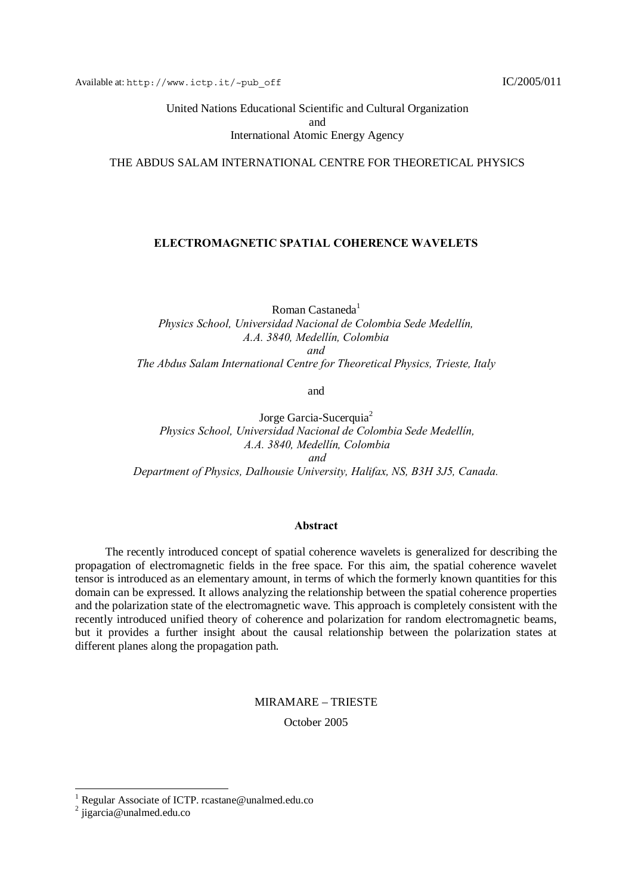United Nations Educational Scientific and Cultural Organization and International Atomic Energy Agency

### THE ABDUS SALAM INTERNATIONAL CENTRE FOR THEORETICAL PHYSICS

### **ELECTROMAGNETIC SPATIAL COHERENCE WAVELETS**

Roman Castaneda $<sup>1</sup>$ </sup> *Physics School, Universidad Nacional de Colombia Sede Medellín, A.A. 3840, Medellín, Colombia and The Abdus Salam International Centre for Theoretical Physics, Trieste, Italy*

and

Jorge Garcia-Sucerquia<sup>2</sup> *Physics School, Universidad Nacional de Colombia Sede Medellín, A.A. 3840, Medellín, Colombia and Department of Physics, Dalhousie University, Halifax, NS, B3H 3J5, Canada.*

#### **Abstract**

The recently introduced concept of spatial coherence wavelets is generalized for describing the propagation of electromagnetic fields in the free space. For this aim, the spatial coherence wavelet tensor is introduced as an elementary amount, in terms of which the formerly known quantities for this domain can be expressed. It allows analyzing the relationship between the spatial coherence properties and the polarization state of the electromagnetic wave. This approach is completely consistent with the recently introduced unified theory of coherence and polarization for random electromagnetic beams, but it provides a further insight about the causal relationship between the polarization states at different planes along the propagation path.

MIRAMARE – TRIESTE

October 2005

l

<sup>1</sup> Regular Associate of ICTP. rcastane@unalmed.edu.co

<sup>&</sup>lt;sup>2</sup> jigarcia@unalmed.edu.co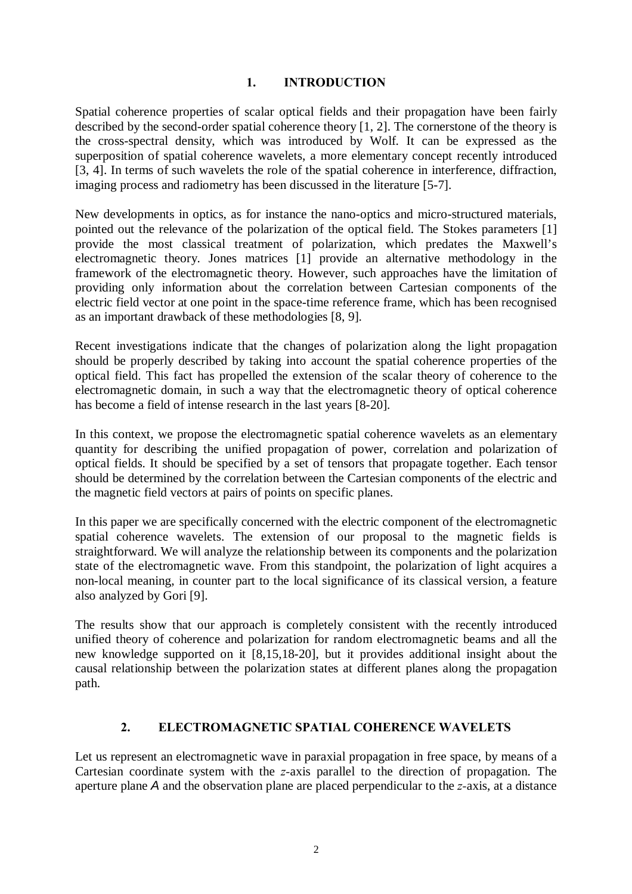# **1. INTRODUCTION**

Spatial coherence properties of scalar optical fields and their propagation have been fairly described by the second-order spatial coherence theory [1, 2]. The cornerstone of the theory is the cross-spectral density, which was introduced by Wolf. It can be expressed as the superposition of spatial coherence wavelets, a more elementary concept recently introduced [3, 4]. In terms of such wavelets the role of the spatial coherence in interference, diffraction, imaging process and radiometry has been discussed in the literature [5-7].

New developments in optics, as for instance the nano-optics and micro-structured materials, pointed out the relevance of the polarization of the optical field. The Stokes parameters [1] provide the most classical treatment of polarization, which predates the Maxwell's electromagnetic theory. Jones matrices [1] provide an alternative methodology in the framework of the electromagnetic theory. However, such approaches have the limitation of providing only information about the correlation between Cartesian components of the electric field vector at one point in the space-time reference frame, which has been recognised as an important drawback of these methodologies [8, 9].

Recent investigations indicate that the changes of polarization along the light propagation should be properly described by taking into account the spatial coherence properties of the optical field. This fact has propelled the extension of the scalar theory of coherence to the electromagnetic domain, in such a way that the electromagnetic theory of optical coherence has become a field of intense research in the last years [8-20].

In this context, we propose the electromagnetic spatial coherence wavelets as an elementary quantity for describing the unified propagation of power, correlation and polarization of optical fields. It should be specified by a set of tensors that propagate together. Each tensor should be determined by the correlation between the Cartesian components of the electric and the magnetic field vectors at pairs of points on specific planes.

In this paper we are specifically concerned with the electric component of the electromagnetic spatial coherence wavelets. The extension of our proposal to the magnetic fields is straightforward. We will analyze the relationship between its components and the polarization state of the electromagnetic wave. From this standpoint, the polarization of light acquires a non-local meaning, in counter part to the local significance of its classical version, a feature also analyzed by Gori [9].

The results show that our approach is completely consistent with the recently introduced unified theory of coherence and polarization for random electromagnetic beams and all the new knowledge supported on it [8,15,18-20], but it provides additional insight about the causal relationship between the polarization states at different planes along the propagation path.

# **2. ELECTROMAGNETIC SPATIAL COHERENCE WAVELETS**

Let us represent an electromagnetic wave in paraxial propagation in free space, by means of a Cartesian coordinate system with the *z-*axis parallel to the direction of propagation. The aperture plane *A* and the observation plane are placed perpendicular to the *z-*axis, at a distance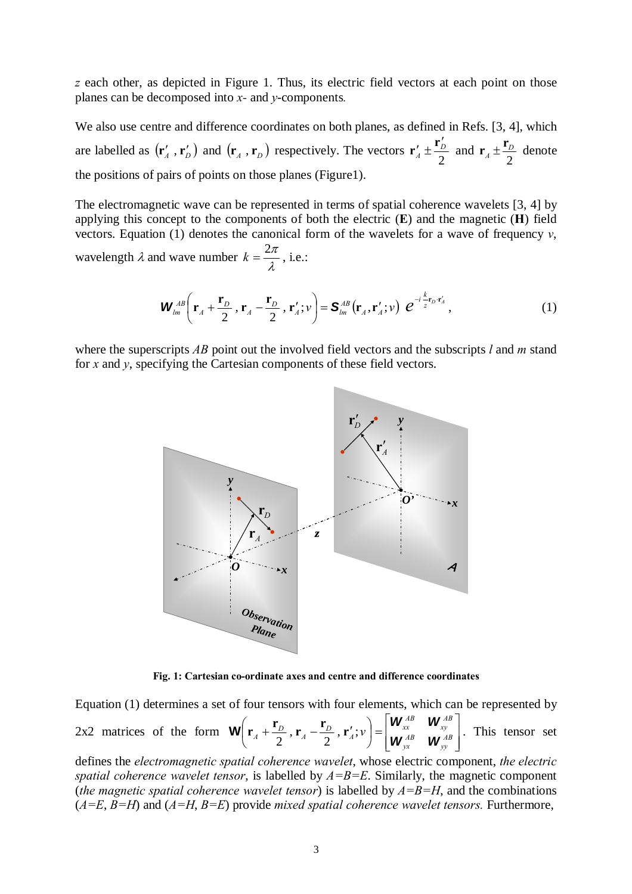*z* each other, as depicted in Figure 1. Thus, its electric field vectors at each point on those planes can be decomposed into *x-* and *y*-components*.*

We also use centre and difference coordinates on both planes, as defined in Refs. [3, 4], which are labelled as  $(\mathbf{r}'_A, \mathbf{r}'_D)$  and  $(\mathbf{r}_A, \mathbf{r}_D)$  respectively. The vectors  $\mathbf{r}'_A \pm \frac{\mathbf{r}_D}{2}$ *D A*  $\mathbf{r}'_4 \pm \frac{\mathbf{r}'_D}{2}$  and 2  $A \pm \frac{D}{2}$  $\mathbf{r}_4 \pm \frac{\mathbf{r}_D}{2}$  denote the positions of pairs of points on those planes (Figure1).

The electromagnetic wave can be represented in terms of spatial coherence wavelets [3, 4] by applying this concept to the components of both the electric (**E**) and the magnetic (**H**) field vectors. Equation (1) denotes the canonical form of the wavelets for a wave of frequency *v*, wavelength  $\lambda$  and wave number  $k = \frac{2\pi}{\lambda}$ , i.e.:

$$
\boldsymbol{W}_{lm}^{AB}\left(\mathbf{r}_A + \frac{\mathbf{r}_D}{2}, \mathbf{r}_A - \frac{\mathbf{r}_D}{2}, \mathbf{r}'_A; \nu\right) = \mathbf{S}_{lm}^{AB}\left(\mathbf{r}_A, \mathbf{r}'_A; \nu\right) e^{-i\frac{k}{z}\mathbf{r}_D \cdot \mathbf{r}'_A},\tag{1}
$$

where the superscripts *AB* point out the involved field vectors and the subscripts *l* and *m* stand for *x* and *y*, specifying the Cartesian components of these field vectors.



**Fig. 1: Cartesian co-ordinate axes and centre and difference coordinates** 

Equation (1) determines a set of four tensors with four elements, which can be represented by 2x2 matrices of the form  $\overline{\phantom{a}}$  $\overline{\phantom{a}}$ ⎦  $\overline{\phantom{a}}$  $\mathsf I$  $\mathsf{I}$ ⎣  $\vert = \vert$ ⎠  $\left(\mathbf{r}_{A}+\frac{\mathbf{r}_{D}}{2},\mathbf{r}_{A}-\frac{\mathbf{r}_{D}}{2},\mathbf{r}_{A}^{\prime};\nu\right)$ ⎝  $\left(\mathbf{r}_A + \frac{\mathbf{r}_D}{2}, \mathbf{r}_A - \frac{\mathbf{r}_D}{2}, \mathbf{r}_A'; v\right) = \begin{vmatrix} \mathbf{W}_{xx}^{AB} & \mathbf{W}_{xy}^{AB} \\ \mathbf{W}_{AB} & \mathbf{W}_{AB}^{AB} \end{vmatrix}$ *yy AB yx AB xy AB xx*  $\mathbf{M}_A + \frac{\mathbf{r}_D}{2}$ ,  $\mathbf{r}_A - \frac{\mathbf{r}_D}{2}$ ,  $\mathbf{r}'_A$ ;  $\mathbf{v}$  $\bigg) = \begin{vmatrix} \mathbf{W}_{xx}^{AB} & \mathbf{W}_{yx} \\ \mathbf{W}_{yx}^{AB} & \mathbf{W}_{xy} \end{vmatrix}$  $\mathbf{W}\left(\mathbf{r}_{A}+\frac{\mathbf{r}_{D}}{2},\mathbf{r}_{A}-\frac{\mathbf{r}_{D}}{2},\mathbf{r}'_{A};v\right)=\begin{vmatrix}\mathbf{W}_{x}^{AB} & \mathbf{W}_{x}^{AB}\\ \mathbf{w}_{x}^{AB} & \mathbf{w}_{xy}^{AB}\end{vmatrix}$ . This tensor set

defines the *electromagnetic spatial coherence wavelet*, whose electric component, *the electric spatial coherence wavelet tensor*, is labelled by  $A=B=E$ . Similarly, the magnetic component *(the magnetic spatial coherence wavelet tensor)* is labelled by  $A=B=H$ , and the combinations (*A=E*, *B=H*) and (*A=H*, *B=E*) provide *mixed spatial coherence wavelet tensors.* Furthermore,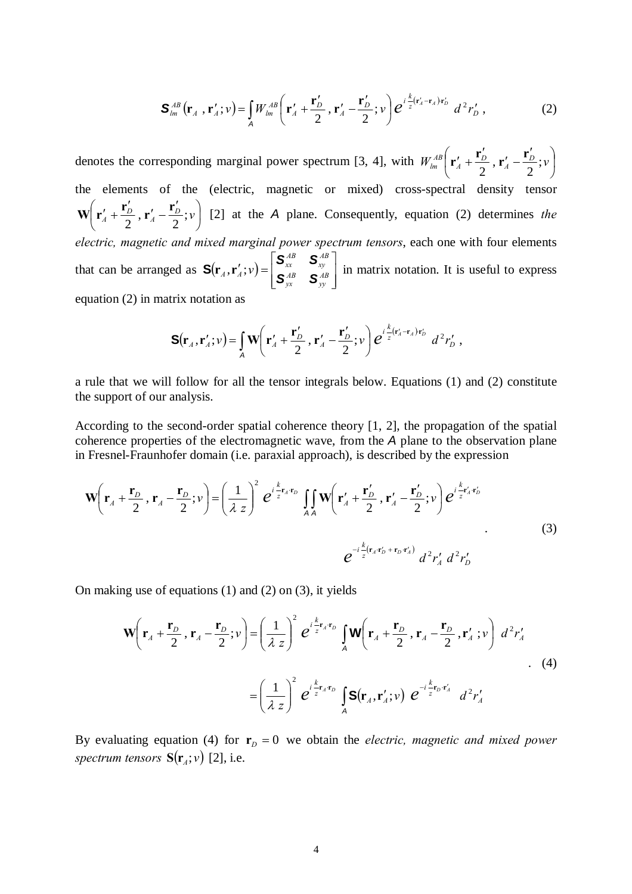$$
\mathbf{S}_{lm}^{AB}\left(\mathbf{r}_A\right,\mathbf{r}_A';v\right) = \iint_A W_{lm}^{AB}\left(\mathbf{r}_A'+\frac{\mathbf{r}_D'}{2},\mathbf{r}_A'-\frac{\mathbf{r}_D'}{2};v\right)e^{i\frac{k}{z}(\mathbf{r}_A'-\mathbf{r}_A)\mathbf{r}_D'}d^2r_D'\,,\tag{2}
$$

denotes the corresponding marginal power spectrum [3, 4], with  $W_{lm}^{AB}$   $\mathbf{r}'_A + \frac{\mathbf{r}_D}{2}$ ,  $\mathbf{r}'_A - \frac{\mathbf{r}_D}{2}$ ;  $v \mid$ ⎠  $\left(\mathbf{r}'_A+\frac{\mathbf{r}'_D}{2},\mathbf{r}'_A-\frac{\mathbf{r}'_D}{2};v\right)$ ⎝  $W_{lm}^{AB}\left(\mathbf{r}'_A+\frac{\mathbf{r}'_D}{2},\mathbf{r}'_A-\frac{\mathbf{r}'_D}{2};v\right)$  $r_{lm}^{AB}$ **(** $\mathbf{r}'_A + \frac{\mathbf{r}'_D}{2}$ **,**  $\mathbf{r}'_A - \frac{\mathbf{r}'_D}{2}$ **;** the elements of the (electric, magnetic or mixed) cross-spectral density tensor  $\overline{\phantom{a}}$ ⎠  $\left(\mathbf{r}'_4+\frac{\mathbf{r}'_D}{2},\mathbf{r}'_4-\frac{\mathbf{r}'_D}{2};v\right)$ ⎝  $W\left(\mathbf{r}'_A + \frac{\mathbf{r}'_D}{2}, \mathbf{r}'_A - \frac{\mathbf{r}'_D}{2}; v\right)$  [2] at the *A* plane. Consequently, equation (2) determines *the electric, magnetic and mixed marginal power spectrum tensors*, each one with four elements that can be arranged as  $\mathbf{S}(\mathbf{r}_A, \mathbf{r}'_A; v) = \begin{vmatrix} \mathbf{x}_x & \mathbf{x}_y \\ \mathbf{S}_{yx}^{AB} & \mathbf{S}_{yy}^{AB} \end{vmatrix}$ ⎦  $\overline{\phantom{a}}$  $\mathsf I$  $\mathsf{I}$ ⎣  $\mathbf{S}_{x}^{AB}$   $\mathbf{S}_{xy}^{AB}$   $\mathbf{S}_{xy}^{AB}$   $\mathbf{S}_{xy}^{AB}$ *yy AB yx AB xy AB*  $\mathbf{X}_A \cdot \mathbf{r}_A' \cdot \mathbf{v} = \begin{vmatrix} \mathbf{S}_{xx} & \mathbf{S} \\ \mathbf{S}_{yx}^{AB} & \mathbf{S} \end{vmatrix}$  $S(\mathbf{r}_A, \mathbf{r}_A'; v) = \begin{bmatrix} S_{\mathcal{X}^R}^{\mathcal{A}^B} & S_{\mathcal{X}^P}^{\mathcal{A}^B} \\ \mathbf{r}_{\mathcal{X}^R} & S_{\mathcal{X}^P}^{\mathcal{A}^B} \end{bmatrix}$  in matrix notation. It is useful to express equation (2) in matrix notation as

$$
\mathbf{S}(\mathbf{r}_A,\mathbf{r}_A';v) = \int_A \mathbf{W}\left(\mathbf{r}_A' + \frac{\mathbf{r}_D'}{2},\mathbf{r}_A' - \frac{\mathbf{r}_D'}{2};v\right) e^{i\frac{k}{z}(\mathbf{r}_A'-\mathbf{r}_A')\mathbf{r}_D'} d^2r_D',
$$

a rule that we will follow for all the tensor integrals below. Equations (1) and (2) constitute the support of our analysis.

According to the second-order spatial coherence theory [1, 2], the propagation of the spatial coherence properties of the electromagnetic wave, from the *A* plane to the observation plane in Fresnel-Fraunhofer domain (i.e. paraxial approach), is described by the expression

$$
\mathbf{W}\left(\mathbf{r}_{A}+\frac{\mathbf{r}_{D}}{2},\mathbf{r}_{A}-\frac{\mathbf{r}_{D}}{2};\nu\right)=\left(\frac{1}{\lambda z}\right)^{2}e^{i\frac{k}{z}\mathbf{r}_{A}\mathbf{r}_{D}}\iint_{AA}\mathbf{W}\left(\mathbf{r}_{A}^{\prime}+\frac{\mathbf{r}_{D}^{\prime}}{2},\mathbf{r}_{A}^{\prime}-\frac{\mathbf{r}_{D}^{\prime}}{2};\nu\right)e^{i\frac{k}{z}\mathbf{r}_{A}^{\prime}\mathbf{r}_{D}^{\prime}}\n\tag{3}
$$
\n
$$
e^{-i\frac{k}{z}(\mathbf{r}_{A}\mathbf{r}_{D}^{\prime}+\mathbf{r}_{D}\mathbf{r}_{A}^{\prime})}d^{2}r_{A}^{\prime}d^{2}r_{D}^{\prime}
$$

On making use of equations (1) and (2) on (3), it yields

$$
\mathbf{W}\left(\mathbf{r}_{A} + \frac{\mathbf{r}_{D}}{2}, \mathbf{r}_{A} - \frac{\mathbf{r}_{D}}{2}; \nu\right) = \left(\frac{1}{\lambda z}\right)^{2} e^{i\frac{k}{z}\mathbf{r}_{A}\mathbf{r}_{D}} \int_{A} \mathbf{W}\left(\mathbf{r}_{A} + \frac{\mathbf{r}_{D}}{2}, \mathbf{r}_{A} - \frac{\mathbf{r}_{D}}{2}, \mathbf{r}'_{A}; \nu\right) d^{2}r'_{A}
$$
  
\n
$$
= \left(\frac{1}{\lambda z}\right)^{2} e^{i\frac{k}{z}\mathbf{r}_{A}\mathbf{r}_{D}} \int_{A} \mathbf{S}(\mathbf{r}_{A}, \mathbf{r}'_{A}; \nu) e^{-i\frac{k}{z}\mathbf{r}_{D}\mathbf{r}'_{A}} d^{2}r'_{A}
$$
 (4)

By evaluating equation (4) for  $\mathbf{r}_D = 0$  we obtain the *electric, magnetic and mixed power spectrum tensors*  $S(r_4; v)$  [2], i.e.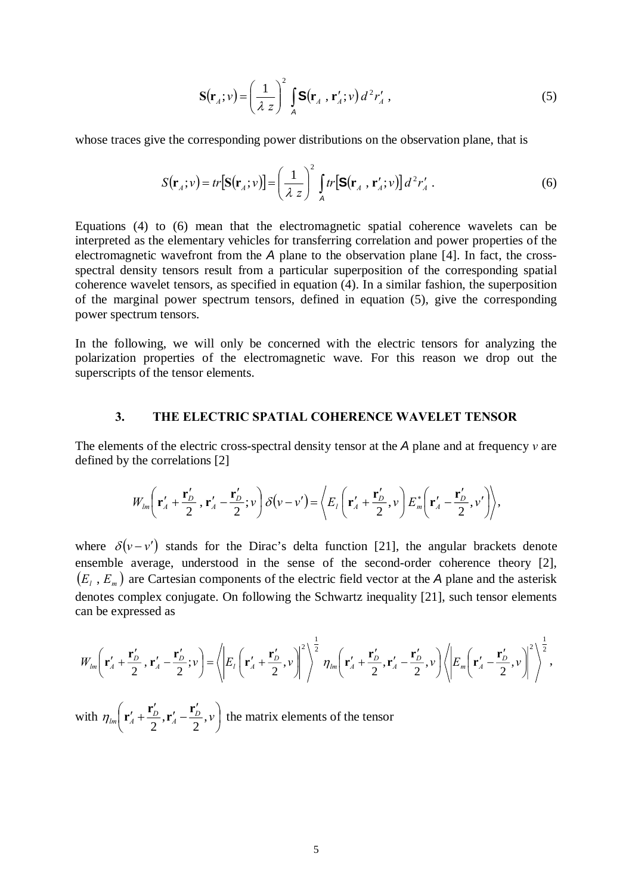$$
\mathbf{S}(\mathbf{r}_A; v) = \left(\frac{1}{\lambda z}\right)^2 \int_A \mathbf{S}(\mathbf{r}_A \cdot \mathbf{r}'_A; v) d^2 r'_A , \qquad (5)
$$

whose traces give the corresponding power distributions on the observation plane, that is

$$
S(\mathbf{r}_A; v) = tr[S(\mathbf{r}_A; v)] = \left(\frac{1}{\lambda z}\right)^2 \int_A tr[S(\mathbf{r}_A, \mathbf{r}'_A; v)] d^2 r'_A.
$$
 (6)

Equations (4) to (6) mean that the electromagnetic spatial coherence wavelets can be interpreted as the elementary vehicles for transferring correlation and power properties of the electromagnetic wavefront from the *A* plane to the observation plane [4]. In fact, the crossspectral density tensors result from a particular superposition of the corresponding spatial coherence wavelet tensors, as specified in equation (4). In a similar fashion, the superposition of the marginal power spectrum tensors, defined in equation (5), give the corresponding power spectrum tensors.

In the following, we will only be concerned with the electric tensors for analyzing the polarization properties of the electromagnetic wave. For this reason we drop out the superscripts of the tensor elements.

## **3. THE ELECTRIC SPATIAL COHERENCE WAVELET TENSOR**

The elements of the electric cross-spectral density tensor at the *A* plane and at frequency *v* are defined by the correlations [2]

$$
W_{lm}\left(\mathbf{r}'_A+\frac{\mathbf{r}'_D}{2},\mathbf{r}'_A-\frac{\mathbf{r}'_D}{2};\nu\right)\delta(\nu-\nu')=\left\langle E_l\left(\mathbf{r}'_A+\frac{\mathbf{r}'_D}{2},\nu\right)E_m^*\left(\mathbf{r}'_A-\frac{\mathbf{r}'_D}{2},\nu'\right)\right\rangle,
$$

where  $\delta(v - v')$  stands for the Dirac's delta function [21], the angular brackets denote ensemble average, understood in the sense of the second-order coherence theory [2],  $(E_i, E_m)$  are Cartesian components of the electric field vector at the *A* plane and the asterisk denotes complex conjugate. On following the Schwartz inequality [21], such tensor elements can be expressed as

$$
W_{lm}\left(\mathbf{r}'_A+\frac{\mathbf{r}'_D}{2},\mathbf{r}'_A-\frac{\mathbf{r}'_D}{2};\nu\right)=\left\langle\left|E_l\left(\mathbf{r}'_A+\frac{\mathbf{r}'_D}{2},\nu\right)\right|^2\right\rangle^{\frac{1}{2}}\eta_{lm}\left(\mathbf{r}'_A+\frac{\mathbf{r}'_D}{2},\mathbf{r}'_A-\frac{\mathbf{r}'_D}{2},\nu\right)\left\langle\left|E_m\left(\mathbf{r}'_A-\frac{\mathbf{r}'_D}{2},\nu\right)\right|^2\right\rangle^{\frac{1}{2}},
$$

with  $\eta_{lm}$   $\mathbf{r}'_A + \frac{\mathbf{r}_D}{2}, \mathbf{r}'_A - \frac{\mathbf{r}_D}{2}, \mathbf{v}$ ⎠  $\left(\mathbf{r}'_A+\frac{\mathbf{r}'_D}{2},\mathbf{r}'_A-\frac{\mathbf{r}'_D}{2},\nu\right)$ ⎝  $\eta_{lm}$   $\left(\mathbf{r}'_A + \frac{\mathbf{r}'_D}{2}, \mathbf{r}'_A - \frac{\mathbf{r}'_D}{2}, \nu\right)$  the matrix elements of the tensor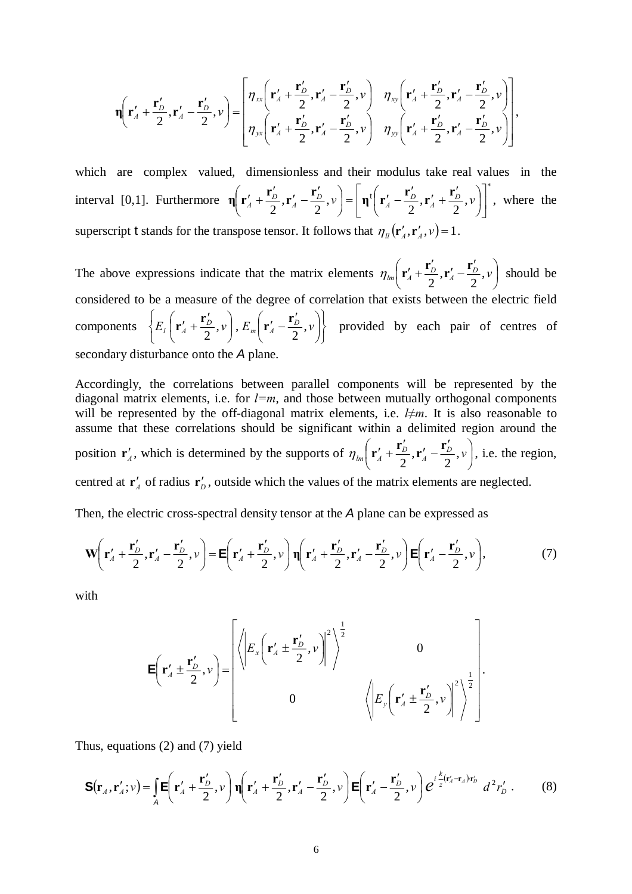$$
\eta\left(\mathbf{r}'_A + \frac{\mathbf{r}'_D}{2}, \mathbf{r}'_A - \frac{\mathbf{r}'_D}{2}, \nu\right) = \begin{bmatrix} \eta_{xx}\left(\mathbf{r}'_A + \frac{\mathbf{r}'_D}{2}, \mathbf{r}'_A - \frac{\mathbf{r}'_D}{2}, \nu\right) & \eta_{xy}\left(\mathbf{r}'_A + \frac{\mathbf{r}'_D}{2}, \mathbf{r}'_A - \frac{\mathbf{r}'_D}{2}, \nu\right) \\ \eta_{yx}\left(\mathbf{r}'_A + \frac{\mathbf{r}'_D}{2}, \mathbf{r}'_A - \frac{\mathbf{r}'_D}{2}, \nu\right) & \eta_{yy}\left(\mathbf{r}'_A + \frac{\mathbf{r}'_D}{2}, \mathbf{r}'_A - \frac{\mathbf{r}'_D}{2}, \nu\right) \end{bmatrix},
$$

which are complex valued, dimensionless and their modulus take real values in the interval [0,1]. Furthermore ∗  $\overline{\phantom{a}}$ ⎦  $\left[\eta^t\left(\mathbf{r}_A^{\prime}-\frac{\mathbf{r}_D^{\prime}}{2},\mathbf{r}_A^{\prime}+\frac{\mathbf{r}_D^{\prime}}{2},\nu\right)\right]$ ⎣  $\left[\eta^{\text{t}}\left(\mathbf{r}_A^{\prime}-\frac{\mathbf{r}_D^{\prime}}{2},\mathbf{r}_A^{\prime}+\frac{\mathbf{r}_D^{\prime}}{2},\nu\right)\right]$ ⎠  $\left(\mathbf{r}'_A-\frac{\mathbf{r}'_D}{2},\mathbf{r}'_A+\frac{\mathbf{r}'_D}{2},\nu\right)$  $\left(\mathbf{r}'_A + \frac{\mathbf{r}'_D}{2}, \mathbf{r}'_A - \frac{\mathbf{r}'_D}{2}, \nu\right) = \left[\eta^t \left(\mathbf{r}'_A - \frac{\mathbf{r}'_D}{2}, \mathbf{r}'_A + \frac{\mathbf{r}'_D}{2}\right)\right]$ ⎝  $\eta \left( \mathbf{r}'_A + \frac{\mathbf{r}'_D}{2}, \mathbf{r}'_A - \frac{\mathbf{r}'_D}{2}, \nu \right) = \eta^t \left( \mathbf{r}'_A - \frac{\mathbf{r}'_D}{2}, \mathbf{r}'_A + \frac{\mathbf{r}'_D}{2}, \nu \right)$ , where the superscript t stands for the transpose tensor. It follows that  $\eta_{\mu}(\mathbf{r}'_{A}, \mathbf{r}'_{A}, \nu) = 1$ .

The above expressions indicate that the matrix elements  $\eta_{lm}$   $\mathbf{r}'_A + \frac{\mathbf{r}_D}{2}$ ,  $\mathbf{r}'_A - \frac{\mathbf{r}_D}{2}$ ,  $v \mid$ ⎠  $\left(\mathbf{r}'_A+\frac{\mathbf{r}'_D}{2},\mathbf{r}'_A-\frac{\mathbf{r}'_D}{2},\nu\right)$ ⎝  $\eta_{lm} \left( \mathbf{r}'_A + \frac{\mathbf{r}'_D}{2}, \mathbf{r}'_A - \frac{\mathbf{r}'_D}{2}, \nu \right)$  should be considered to be a measure of the degree of correlation that exists between the electric field components ⎭  $\left\{ \right.$  $\vert$  $\overline{a}$  $\left\{E_{l}\left(\mathbf{r}_{A}^{\prime}+\frac{\mathbf{r}_{D}^{\prime}}{2},\nu\right),E_{m}\left(\mathbf{r}_{A}^{\prime}-\frac{\mathbf{r}_{D}^{\prime}}{2},\nu\right)\right\}$ ⎠  $\left(\mathbf{r}'_A-\frac{\mathbf{r}'_D}{2},v\right)$  $\left(\mathbf{r}'_A + \frac{\mathbf{r}'_D}{2}, v\right), E_m\left(\mathbf{r}'_A - \frac{\mathbf{r}'_L}{2}\right)$ ⎝  $E_l\left(\mathbf{r}'_A + \frac{\mathbf{r}'_D}{2}, v\right), E_m\left(\mathbf{r}'_A - \frac{\mathbf{r}'_D}{2}, v\right)$  provided by each pair of centres of secondary disturbance onto the *A* plane.

Accordingly, the correlations between parallel components will be represented by the diagonal matrix elements, i.e. for  $l=m$ , and those between mutually orthogonal components will be represented by the off-diagonal matrix elements, i.e. *l≠m*. It is also reasonable to assume that these correlations should be significant within a delimited region around the position  $\mathbf{r}'_A$ , which is determined by the supports of  $\eta_{lm} \left| \mathbf{r}'_A + \frac{\mathbf{r}_D}{2}, \mathbf{r}'_A - \frac{\mathbf{r}_D}{2}, v \right|$ ⎠  $\left(\mathbf{r}'_A+\frac{\mathbf{r}'_D}{2},\mathbf{r}'_A-\frac{\mathbf{r}'_D}{2},\mathbf{v}\right)$ ⎝  $\eta_{lm} \left( \mathbf{r}'_A + \frac{\mathbf{r}'_D}{2}, \mathbf{r}'_A - \frac{\mathbf{r}'_D}{2}, \nu \right)$ , i.e. the region, centred at  $\mathbf{r}'_1$  of radius  $\mathbf{r}'_0$ , outside which the values of the matrix elements are neglected.

Then, the electric cross-spectral density tensor at the *A* plane can be expressed as

$$
\mathbf{W}\left(\mathbf{r}'_A + \frac{\mathbf{r}'_D}{2}, \mathbf{r}'_A - \frac{\mathbf{r}'_D}{2}, \nu\right) = \mathbf{E}\left(\mathbf{r}'_A + \frac{\mathbf{r}'_D}{2}, \nu\right) \mathbf{\eta}\left(\mathbf{r}'_A + \frac{\mathbf{r}'_D}{2}, \mathbf{r}'_A - \frac{\mathbf{r}'_D}{2}, \nu\right) \mathbf{E}\left(\mathbf{r}'_A - \frac{\mathbf{r}'_D}{2}, \nu\right),\tag{7}
$$

with

$$
\mathbf{E}\left(\mathbf{r}'_A \pm \frac{\mathbf{r}'_D}{2}, \mathbf{v}\right) = \begin{bmatrix} \left\langle \left| E_x \left( \mathbf{r}'_A \pm \frac{\mathbf{r}'_D}{2}, \mathbf{v} \right) \right|^2 \right\rangle^{\frac{1}{2}} & 0\\ 0 & \left\langle \left| E_y \left( \mathbf{r}'_A \pm \frac{\mathbf{r}'_D}{2}, \mathbf{v} \right) \right|^2 \right\rangle^{\frac{1}{2}} \end{bmatrix}.
$$

Thus, equations (2) and (7) yield

$$
\mathbf{S}(\mathbf{r}_A,\mathbf{r}_A';v) = \int_A \mathbf{E}\left(\mathbf{r}_A' + \frac{\mathbf{r}_D'}{2},v\right) \mathbf{\eta}\left(\mathbf{r}_A' + \frac{\mathbf{r}_D'}{2},\mathbf{r}_A' - \frac{\mathbf{r}_D'}{2},v\right) \mathbf{E}\left(\mathbf{r}_A' - \frac{\mathbf{r}_D'}{2},v\right) e^{i\frac{k}{z}(\mathbf{r}_A' - \mathbf{r}_A')\mathbf{r}_D'} d^2 r_D' \,. \tag{8}
$$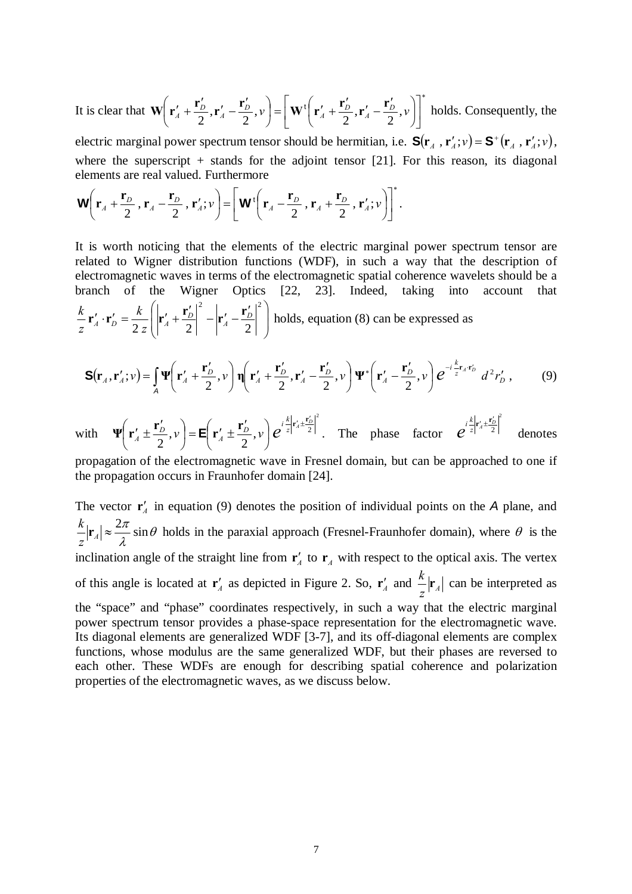It is clear that ∗  $\overline{\phantom{a}}$ ⎦  $\left|\mathbf{W}^{\mathrm{t}}\!\left(\mathbf{r}_{A}^{\prime}+\frac{\mathbf{r}_{D}^{\prime}}{2},\mathbf{r}_{A}^{\prime}-\frac{\mathbf{r}_{D}^{\prime}}{2},\nu\right)\right|$ ⎣  $\mathbf{W}^{\mathrm{t}}\left(\mathbf{r}'_{A}+\frac{\mathbf{r}'_{D}}{2},\mathbf{r}'_{A}-\frac{\mathbf{r}'_{D}}{2},\nu\right)$ ⎠  $\left(\mathbf{r}'_A+\frac{\mathbf{r}'_D}{2},\mathbf{r}'_A-\frac{\mathbf{r}'_D}{2},\mathbf{v}\right)$  $\left(\mathbf{r}'_A + \frac{\mathbf{r}'_D}{2}, \mathbf{r}'_A - \frac{\mathbf{r}'_D}{2}, \nu\right) = \left[\mathbf{W}^{\dagger}\left(\mathbf{r}'_A + \frac{\mathbf{r}'_D}{2}, \mathbf{r}'_A - \frac{\mathbf{r}'_L}{2}\right)\right]$ ⎝  $\mathbf{W}\left(\mathbf{r}'_A + \frac{\mathbf{r}'_D}{2}, \mathbf{r}'_A - \frac{\mathbf{r}'_D}{2}, \nu\right) = \left[\mathbf{W}^{\dagger}\left(\mathbf{r}'_A + \frac{\mathbf{r}'_D}{2}, \mathbf{r}'_A - \frac{\mathbf{r}'_D}{2}, \nu\right)\right]^*$  holds. Consequently, the electric marginal power spectrum tensor should be hermitian, i.e.  $S(\mathbf{r}_A, \mathbf{r}'_A; v) = S^+(\mathbf{r}_A, \mathbf{r}'_A; v)$ ,

where the superscript  $+$  stands for the adjoint tensor [21]. For this reason, its diagonal elements are real valued. Furthermore

$$
\mathbf{W}\left(\mathbf{r}_A + \frac{\mathbf{r}_D}{2}, \mathbf{r}_A - \frac{\mathbf{r}_D}{2}, \mathbf{r}'_A; \nu\right) = \left[\mathbf{W}^{\dagger}\left(\mathbf{r}_A - \frac{\mathbf{r}_D}{2}, \mathbf{r}_A + \frac{\mathbf{r}_D}{2}, \mathbf{r}'_A; \nu\right)\right]^*.
$$

It is worth noticing that the elements of the electric marginal power spectrum tensor are related to Wigner distribution functions (WDF), in such a way that the description of electromagnetic waves in terms of the electromagnetic spatial coherence wavelets should be a branch of the Wigner Optics [22, 23]. Indeed, taking into account that  $\overline{a}$  $\overline{\phantom{a}}$ ⎠ ⎞  $\overline{a}$  $\mathsf I$ ⎝  ${\bf r}'_A\cdot{\bf r}'_D=\frac{k}{2}\left|\left|{\bf r}'_A+ \frac{{\bf r}'_D}{2}\right|^2-\left|{\bf r}'_A-\frac{{\bf r}'_D}{2}\right|^2\right|$  $2 z \begin{bmatrix} 4 & 2 & \end{bmatrix}$   $2^4$  2  $\int_A^t \cdot \mathbf{r}'_D = \frac{\kappa}{2 z} \left| \left| \mathbf{r}'_A + \frac{\mathbf{r}_D}{2} \right| \right| - \left| \mathbf{r}'_A - \frac{\mathbf{r}_D}{2} \right|$ *k z*  $\frac{k}{\sigma}$ **r**'<sub>1</sub> · **r**'<sub>1</sub> =  $\frac{k}{\sigma}$   $\left|\mathbf{r}'_4 + \frac{\mathbf{r}'_2}{\sigma}\right|^2 - \left|\mathbf{r}'_4 - \frac{\mathbf{r}'_2}{\sigma}\right|^2$  holds, equation (8) can be expressed as

$$
\mathbf{S}(\mathbf{r}_A,\mathbf{r}_A';v) = \int_A \mathbf{\Psi}\left(\mathbf{r}_A' + \frac{\mathbf{r}_D'}{2},v\right) \mathbf{\eta}\left(\mathbf{r}_A' + \frac{\mathbf{r}_D'}{2},\mathbf{r}_A' - \frac{\mathbf{r}_D'}{2},v\right) \mathbf{\Psi}^*\left(\mathbf{r}_A' - \frac{\mathbf{r}_D'}{2},v\right) e^{-i\frac{k}{z}\mathbf{r}_A\cdot\mathbf{r}_D'} d^2r_D',\tag{9}
$$

with 2  $\Psi\left(\mathbf{r}'_A \pm \frac{\mathbf{r}'_D}{2}, v\right) = \mathbf{E}\left(\mathbf{r}'_A \pm \frac{\mathbf{r}'_D}{2}, v\right) e^{i\frac{k}{z}\left|\mathbf{r}'_A \pm \frac{\mathbf{r}'_D}{2}\right|}$  $\sqrt{2}$ ⎠  $\left(\mathbf{r}'_A \pm \frac{\mathbf{r}'_D}{2}, v\right)$  $\left(\mathbf{r}'_A \pm \frac{\mathbf{r}'_D}{2}, v\right) = \mathbf{E}\left(\mathbf{r}'_A \pm \frac{\mathbf{r}'_D}{2}\right)$ ⎝  $\left(\mathbf{r}'_4 \pm \frac{\mathbf{r}'_2}{2}, v\right) = \mathbf{E}\left(\mathbf{r}'_4 \pm \frac{\mathbf{r}'_2}{2}, v\right) e^{i\frac{k}{2}\left|\mathbf{r}'_4 \pm \frac{\mathbf{r}'_2}{2}\right|^2}$ . The phase factor  $e^{i\frac{k}{2}\left|\mathbf{r}'_4 \pm \frac{\mathbf{r}'_2}{2}\right|^2}$  $e^{i\frac{k}{z}|\mathbf{r}_{A}'\pm\frac{\mathbf{r}_{D}'}{2}}$ denotes

propagation of the electromagnetic wave in Fresnel domain, but can be approached to one if the propagation occurs in Fraunhofer domain [24].

The vector  $\mathbf{r}'_4$  in equation (9) denotes the position of individual points on the *A* plane, and θ  $\frac{k}{z}$   $|\mathbf{r}_A| \approx \frac{2\pi}{\lambda} \sin \theta$  holds in the paraxial approach (Fresnel-Fraunhofer domain), where  $\theta$  is the inclination angle of the straight line from  $\mathbf{r}'_A$  to  $\mathbf{r}_A$  with respect to the optical axis. The vertex of this angle is located at  $\mathbf{r}'_A$  as depicted in Figure 2. So,  $\mathbf{r}'_A$  and  $\frac{1}{z}|\mathbf{r}_A$  $\frac{k}{r}$   $\left| \mathbf{r}_4 \right|$  can be interpreted as the "space" and "phase" coordinates respectively, in such a way that the electric marginal power spectrum tensor provides a phase-space representation for the electromagnetic wave. Its diagonal elements are generalized WDF [3-7], and its off-diagonal elements are complex functions, whose modulus are the same generalized WDF, but their phases are reversed to each other. These WDFs are enough for describing spatial coherence and polarization properties of the electromagnetic waves, as we discuss below.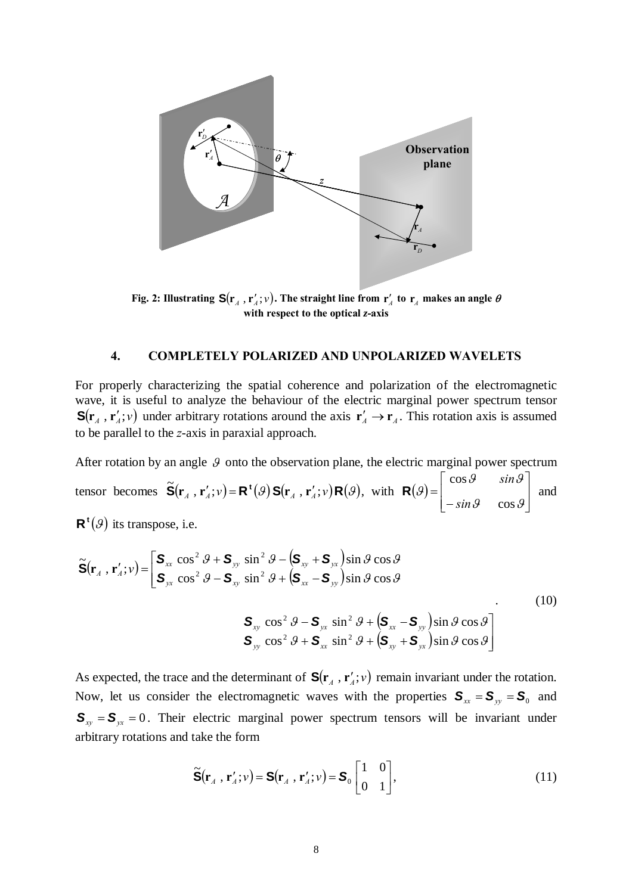

**Fig. 2: Illustrating**  $S(r_A, r_A'; v)$ **. The straight line from**  $r_A'$  **to**  $r_A$  **makes an angle**  $\theta$ **with respect to the optical** *z***-axis**

## **4. COMPLETELY POLARIZED AND UNPOLARIZED WAVELETS**

For properly characterizing the spatial coherence and polarization of the electromagnetic wave, it is useful to analyze the behaviour of the electric marginal power spectrum tensor  $S(\mathbf{r}_A, \mathbf{r}_A'; v)$  under arbitrary rotations around the axis  $\mathbf{r}_A' \to \mathbf{r}_A$ . This rotation axis is assumed to be parallel to the *z*-axis in paraxial approach.

After rotation by an angle  $\mathcal{G}$  onto the observation plane, the electric marginal power spectrum tensor becomes  $\tilde{\mathbf{S}}(\mathbf{r}_A, \mathbf{r}_A'; v) = \mathbf{R}^{\mathsf{t}}(\mathcal{G}) \mathbf{S}(\mathbf{r}_A, \mathbf{r}_A'; v) \mathbf{R}(\mathcal{G})$ , with  $\mathbf{R}(\mathcal{G}) = \begin{vmatrix} \cos \theta & \sin \theta \\ -\sin \theta & \cos \theta \end{vmatrix}$  $\overline{\phantom{a}}$ ⎦  $\overline{\phantom{a}}$  $\mathsf{I}$  $\mathsf I$ ⎣  $\mathsf{L}$ − =  $\theta$   $\cos \theta$  $\mathcal{G}$   $sin \mathcal{G}$ ϑ cos cos *sin sin*  $R(\mathcal{G}) =$  and

 $\mathbf{R}^{t}(\mathcal{G})$  its transpose, i.e.

$$
\widetilde{\mathbf{S}}(\mathbf{r}_{A}, \mathbf{r}'_{A}; v) = \begin{bmatrix} \mathbf{S}_{xx} \cos^{2} \theta + \mathbf{S}_{yy} \sin^{2} \theta - (\mathbf{S}_{xy} + \mathbf{S}_{yx}) \sin \theta \cos \theta \\ \mathbf{S}_{yx} \cos^{2} \theta - \mathbf{S}_{xy} \sin^{2} \theta + (\mathbf{S}_{xx} - \mathbf{S}_{yy}) \sin \theta \cos \theta \end{bmatrix}
$$
\n
$$
\mathbf{S}_{xy} \cos^{2} \theta - \mathbf{S}_{yx} \sin^{2} \theta + (\mathbf{S}_{xx} - \mathbf{S}_{yy}) \sin \theta \cos \theta \\ \mathbf{S}_{yy} \cos^{2} \theta + \mathbf{S}_{xx} \sin^{2} \theta + (\mathbf{S}_{xy} + \mathbf{S}_{yx}) \sin \theta \cos \theta \end{bmatrix}
$$
\n(10)

As expected, the trace and the determinant of  $S(\mathbf{r}_A, \mathbf{r}_A'; v)$  remain invariant under the rotation. Now, let us consider the electromagnetic waves with the properties  $S_{xx} = S_{yy} = S_0$  and  $S_{xy} = S_{yx} = 0$ . Their electric marginal power spectrum tensors will be invariant under arbitrary rotations and take the form

$$
\widetilde{\mathbf{S}}(\mathbf{r}_A, \mathbf{r}_A'; v) = \mathbf{S}(\mathbf{r}_A, \mathbf{r}_A'; v) = \mathbf{S}_0 \begin{bmatrix} 1 & 0 \\ 0 & 1 \end{bmatrix},
$$
\n(11)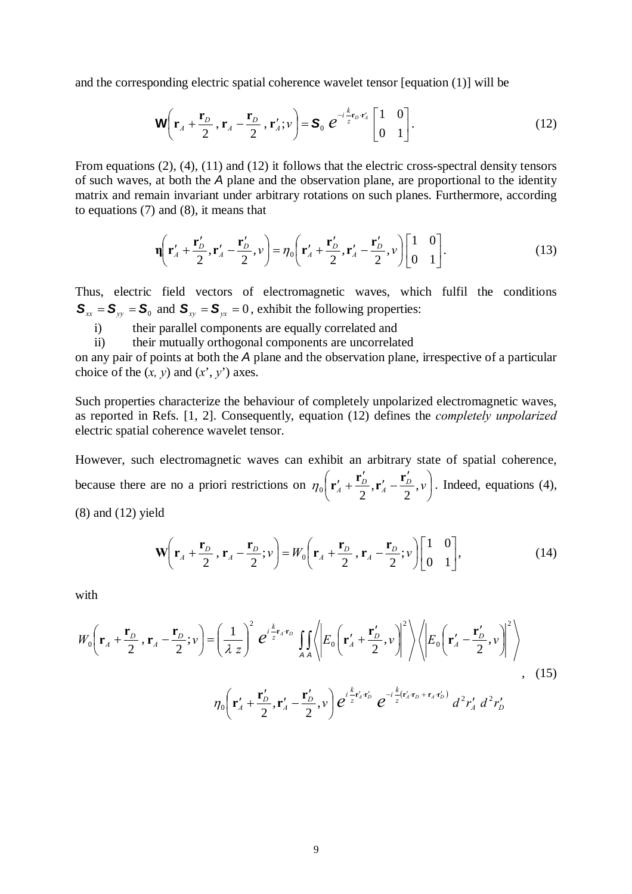and the corresponding electric spatial coherence wavelet tensor [equation (1)] will be

$$
\mathbf{W}\left(\mathbf{r}_A + \frac{\mathbf{r}_D}{2}, \mathbf{r}_A - \frac{\mathbf{r}_D}{2}, \mathbf{r}'_A; \nu\right) = \mathbf{S}_0 \ e^{-i\frac{k}{z}\mathbf{r}_D \cdot \mathbf{r}'_A} \begin{bmatrix} 1 & 0 \\ 0 & 1 \end{bmatrix}.
$$
 (12)

From equations (2), (4), (11) and (12) it follows that the electric cross-spectral density tensors of such waves, at both the *A* plane and the observation plane, are proportional to the identity matrix and remain invariant under arbitrary rotations on such planes. Furthermore, according to equations (7) and (8), it means that

$$
\mathbf{\eta}\left(\mathbf{r}'_A + \frac{\mathbf{r}'_D}{2}, \mathbf{r}'_A - \frac{\mathbf{r}'_D}{2}, \nu\right) = \eta_0\left(\mathbf{r}'_A + \frac{\mathbf{r}'_D}{2}, \mathbf{r}'_A - \frac{\mathbf{r}'_D}{2}, \nu\right)\begin{bmatrix} 1 & 0 \\ 0 & 1 \end{bmatrix}.\tag{13}
$$

Thus, electric field vectors of electromagnetic waves, which fulfil the conditions  $S_{xx} = S_{yy} = S_0$  and  $S_{xy} = S_{yx} = 0$ , exhibit the following properties:

i) their parallel components are equally correlated and

ii) their mutually orthogonal components are uncorrelated

on any pair of points at both the *A* plane and the observation plane, irrespective of a particular choice of the  $(x, y)$  and  $(x', y')$  axes.

Such properties characterize the behaviour of completely unpolarized electromagnetic waves, as reported in Refs. [1, 2]. Consequently, equation (12) defines the *completely unpolarized*  electric spatial coherence wavelet tensor.

However, such electromagnetic waves can exhibit an arbitrary state of spatial coherence, because there are no a priori restrictions on  $\eta_0 \mid \mathbf{r}_A' + \frac{\mathbf{r}_D}{2}, \mathbf{r}_A' - \frac{\mathbf{r}_D}{2}, v$ ⎠  $\left(\mathbf{r}'_A+\frac{\mathbf{r}'_D}{2},\mathbf{r}'_A-\frac{\mathbf{r}'_D}{2},\mathbf{v}\right)$ ⎝  $\eta_0 \left( \mathbf{r}'_A + \frac{\mathbf{r}'_D}{2}, \mathbf{r}'_A - \frac{\mathbf{r}'_D}{2}, \nu \right)$ . Indeed, equations (4), (8) and (12) yield

$$
\mathbf{W}\left(\mathbf{r}_A + \frac{\mathbf{r}_D}{2}, \mathbf{r}_A - \frac{\mathbf{r}_D}{2}; \nu\right) = W_0\left(\mathbf{r}_A + \frac{\mathbf{r}_D}{2}, \mathbf{r}_A - \frac{\mathbf{r}_D}{2}; \nu\right)\begin{bmatrix} 1 & 0 \\ 0 & 1 \end{bmatrix},\tag{14}
$$

with

$$
W_0\left(\mathbf{r}_A + \frac{\mathbf{r}_D}{2}, \mathbf{r}_A - \frac{\mathbf{r}_D}{2}; \nu\right) = \left(\frac{1}{\lambda z}\right)^2 e^{i\frac{k}{z}\mathbf{r}_A\mathbf{r}_D} \iint_{AA} \left\langle E_0\left(\mathbf{r}_A' + \frac{\mathbf{r}_D'}{2}, \nu\right)^2 \right\rangle \left\langle E_0\left(\mathbf{r}_A' - \frac{\mathbf{r}_D'}{2}, \nu\right)^2 \right\rangle,
$$
\n
$$
\eta_0\left(\mathbf{r}_A' + \frac{\mathbf{r}_D'}{2}, \mathbf{r}_A' - \frac{\mathbf{r}_D'}{2}, \nu\right) e^{i\frac{k}{z}\mathbf{r}_A'\mathbf{r}_D'} e^{-i\frac{k}{z}(\mathbf{r}_A'\mathbf{r}_D + \mathbf{r}_A\mathbf{r}_D')} d^2r_A' d^2r_D'
$$
\n(15)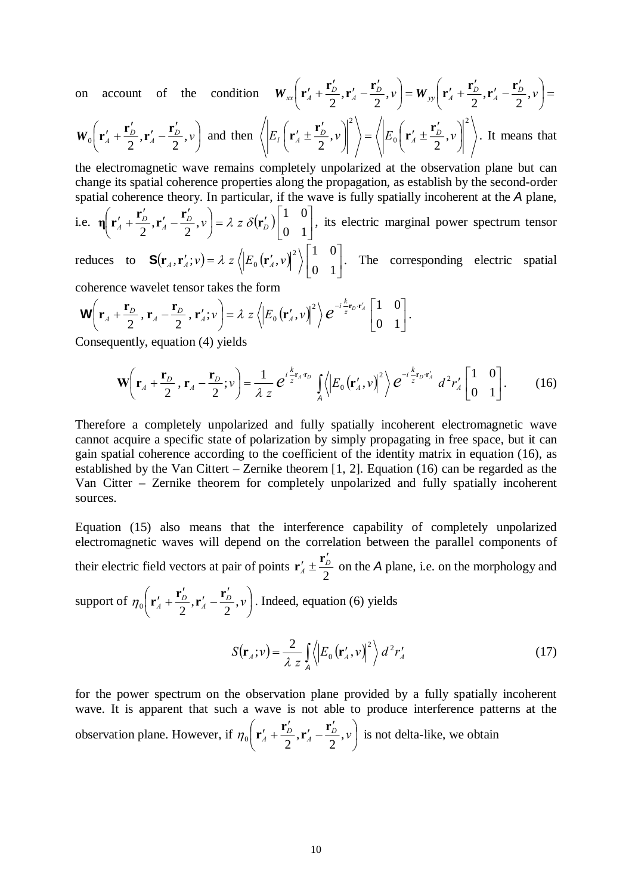on account of the condition  $W_{xx}$   $\mathbf{r}'_A + \frac{\mathbf{r}_D}{2}, \mathbf{r}'_A - \frac{\mathbf{r}_D}{2}, v$  = ⎠  $\left(\mathbf{r}'_A+\frac{\mathbf{r}'_D}{2},\mathbf{r}'_A-\frac{\mathbf{r}'_D}{2},\nu\right)$ ⎝  $W_{xx}\left(\mathbf{r}'_A + \frac{\mathbf{r}'_D}{2}, \mathbf{r}'_A - \frac{\mathbf{r}'_D}{2}, \nu\right) = W_{yy}\left(\mathbf{r}'_A + \frac{\mathbf{r}'_D}{2}, \mathbf{r}'_A - \frac{\mathbf{r}'_D}{2}, \nu\right) =$ ⎠  $\left(\mathbf{r}'_A+\frac{\mathbf{r}'_D}{2},\mathbf{r}'_A-\frac{\mathbf{r}'_D}{2},\mathbf{v}\right)$ ⎝  $W_{yy}\left(\mathbf{r}'_A + \frac{\mathbf{r}'_D}{2}, \mathbf{r}'_A - \frac{\mathbf{r}'_D}{2}, v\right)$ 

$$
\boldsymbol{W}_0\bigg(\mathbf{r}_A' + \frac{\mathbf{r}_D'}{2}, \mathbf{r}_A' - \frac{\mathbf{r}_D'}{2}, \nu\bigg) \text{ and then } \bigg\langle \bigg| E_l \bigg(\mathbf{r}_A' \pm \frac{\mathbf{r}_D'}{2}, \nu \bigg) \bigg|^2 \bigg\rangle = \bigg\langle \bigg| E_0 \bigg(\mathbf{r}_A' \pm \frac{\mathbf{r}_D'}{2}, \nu \bigg) \bigg|^2 \bigg\rangle. \text{ It means that}
$$

the electromagnetic wave remains completely unpolarized at the observation plane but can change its spatial coherence properties along the propagation, as establish by the second-order spatial coherence theory. In particular, if the wave is fully spatially incoherent at the *A* plane,

i.e. 
$$
\mathbf{\eta} \left( \mathbf{r}'_4 + \frac{\mathbf{r}'_D}{2}, \mathbf{r}'_A - \frac{\mathbf{r}'_D}{2}, \nu \right) = \lambda z \delta(\mathbf{r}'_D) \begin{bmatrix} 1 & 0 \\ 0 & 1 \end{bmatrix}
$$
, its electric marginal power spectrum tensor

reduces to  $\mathbf{S}(\mathbf{r}_A, \mathbf{r}_A'; v) = \lambda z \langle \left| E_0(\mathbf{r}_A', v) \right|^2 \rangle \rangle \Big|_{\Omega=1}^{\infty}$ ⎦  $\begin{vmatrix} 1 & 0 \\ 0 & 1 \end{vmatrix}$  $\mathbf{S}(\mathbf{r}_A, \mathbf{r}_A'; v) = \lambda z \left\langle \left| E_0(\mathbf{r}_A', v) \right|^2 \right\rangle \begin{bmatrix} 1 & 0 \\ 0 & 1 \end{bmatrix}$ . The corresponding electric spatial

coherence wavelet tensor takes the form

$$
\mathbf{W}\left(\mathbf{r}_A + \frac{\mathbf{r}_D}{2}, \mathbf{r}_A - \frac{\mathbf{r}_D}{2}, \mathbf{r}'_A; v\right) = \lambda z \left\langle \left| E_0\left(\mathbf{r}'_A, v\right) \right|^2 \right\rangle e^{-i\frac{k}{z}\mathbf{r}_D \cdot \mathbf{r}'_A} \begin{bmatrix} 1 & 0 \\ 0 & 1 \end{bmatrix}.
$$

Consequently, equation (4) yields

$$
\mathbf{W}\left(\mathbf{r}_A + \frac{\mathbf{r}_D}{2}, \mathbf{r}_A - \frac{\mathbf{r}_D}{2}; \nu\right) = \frac{1}{\lambda z} e^{i\frac{k}{z}\mathbf{r}_A \cdot \mathbf{r}_D} \int_A \left\langle \left| E_0\left(\mathbf{r}_A', \nu\right) \right|^2 \right\rangle e^{-i\frac{k}{z}\mathbf{r}_D \cdot \mathbf{r}_A'} d^2 r_A' \begin{bmatrix} 1 & 0 \\ 0 & 1 \end{bmatrix} . \tag{16}
$$

Therefore a completely unpolarized and fully spatially incoherent electromagnetic wave cannot acquire a specific state of polarization by simply propagating in free space, but it can gain spatial coherence according to the coefficient of the identity matrix in equation (16), as established by the Van Cittert – Zernike theorem [1, 2]. Equation (16) can be regarded as the Van Citter – Zernike theorem for completely unpolarized and fully spatially incoherent sources.

Equation (15) also means that the interference capability of completely unpolarized electromagnetic waves will depend on the correlation between the parallel components of their electric field vectors at pair of points  $\mathbf{r}'_4 \pm \frac{\mathbf{r}_D}{2}$  $\mathbf{r}'_1 \pm \frac{\mathbf{r}'_2}{2}$  on the *A* plane, i.e. on the morphology and support of  $\eta_0 \mid \mathbf{r}'_A + \frac{\mathbf{r}_D}{2}, \mathbf{r}'_A - \frac{\mathbf{r}_D}{2}, \nu \mid$  $\left(\mathbf{r}'_A+\frac{\mathbf{r}'_D}{2},\mathbf{r}'_A-\frac{\mathbf{r}'_D}{2},\mathbf{v}\right)$  $\eta_0 \left( \mathbf{r}'_A + \frac{\mathbf{r}'_D}{2}, \mathbf{r}'_A - \frac{\mathbf{r}'_D}{2}, \nu \right)$ . Indeed, equation (6) yields

$$
\begin{pmatrix} 4 & 2 & 4 & 2 \end{pmatrix}
$$

$$
S(\mathbf{r}_A; v) = \frac{2}{\lambda z} \int_A \left\langle E_0(\mathbf{r}'_A, v) \right\rangle^2 \right\rangle d^2 r'_A \tag{17}
$$

for the power spectrum on the observation plane provided by a fully spatially incoherent wave. It is apparent that such a wave is not able to produce interference patterns at the observation plane. However, if  $\eta_0 \mid \mathbf{r}'_4 + \frac{\mathbf{r}_D}{2}, \mathbf{r}'_4 - \frac{\mathbf{r}_D}{2}, v \mid$ ⎠  $\left(\mathbf{r}'_4+\frac{\mathbf{r}'_D}{2},\mathbf{r}'_4-\frac{\mathbf{r}'_D}{2},\nu\right)$ ⎝  $\eta_0 \left( \mathbf{r}'_A + \frac{\mathbf{r}'_D}{2}, \mathbf{r}'_A - \frac{\mathbf{r}'_D}{2}, \nu \right)$  is not delta-like, we obtain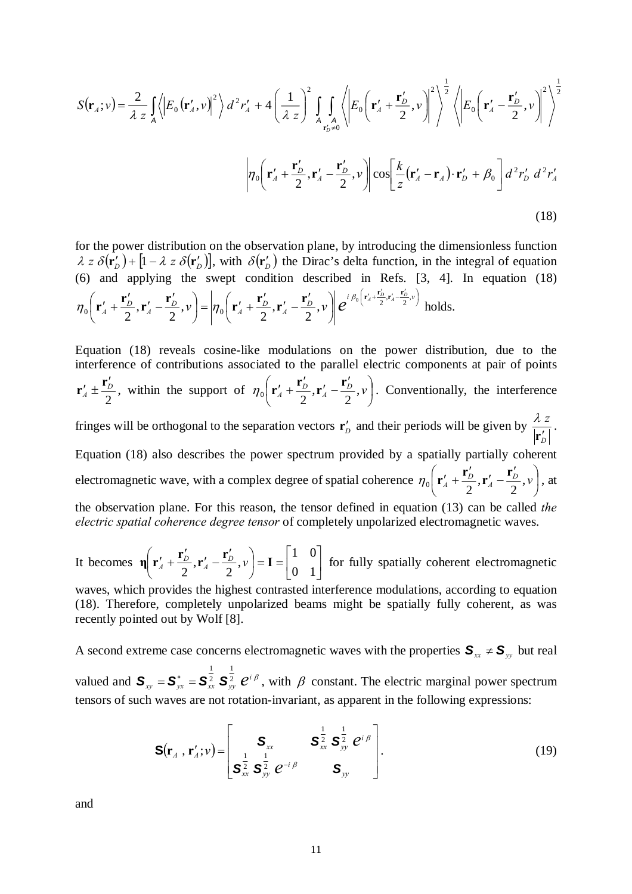$$
S(\mathbf{r}_A; v) = \frac{2}{\lambda z} \int_A \left\langle \left| E_0 \left( \mathbf{r}'_A, v \right) \right|^2 \right\rangle d^2 r'_A + 4 \left( \frac{1}{\lambda z} \right)^2 \int_{A \atop \mathbf{r}'_D \neq 0} \left\langle E_0 \left( \mathbf{r}'_A + \frac{\mathbf{r}'_D}{2}, v \right) \right|^2 \right\rangle^{\frac{1}{2}} \left\langle \left| E_0 \left( \mathbf{r}'_A - \frac{\mathbf{r}'_D}{2}, v \right) \right|^2 \right\rangle^{\frac{1}{2}}
$$
\n
$$
\left| \eta_0 \left( \mathbf{r}'_A + \frac{\mathbf{r}'_D}{2}, \mathbf{r}'_A - \frac{\mathbf{r}'_D}{2}, v \right) \right| \cos \left[ \frac{k}{z} (\mathbf{r}'_A - \mathbf{r}_A) \cdot \mathbf{r}'_D + \beta_0 \right] d^2 r'_D d^2 r'_A \tag{18}
$$

for the power distribution on the observation plane, by introducing the dimensionless function  $\lambda$  *z*  $\delta(\mathbf{r}'_D)$  +  $[1 - \lambda \, z \, \delta(\mathbf{r}'_D)]$ , with  $\delta(\mathbf{r}'_D)$  the Dirac's delta function, in the integral of equation (6) and applying the swept condition described in Refs. [3, 4]. In equation (18)  $\left(\mathbf{r}'_A+\frac{\mathbf{r}'_D}{2},\mathbf{r}'_A-\frac{\mathbf{r}'_D}{2},\mathbf{v}\right)$  $\overline{\phantom{a}}$ ⎠  $\left(\mathbf{r}'_A+\frac{\mathbf{r}'_D}{2},\mathbf{r}'_A-\frac{\mathbf{r}'_D}{2},\nu\right)$  $\left( {\bf r}_A' + {\bf r}_D' \over 2}, {\bf r}_A' - {\bf r}_D' \over 2}, v \right) = \left| \eta_0 \left( {\bf r}_A' + {\bf r}_D' \over 2}, {\bf r}_A' - {\bf r}_L' \over 2} \right) \right|$ ⎝  $\left(\mathbf{r}'_A + \frac{\mathbf{r}'_D}{2}, \mathbf{r}'_A - \frac{\mathbf{r}'_D}{2}, \nu\right) = \eta_0 \left(\mathbf{r}'_A + \frac{\mathbf{r}'_D}{2}, \mathbf{r}'_A - \frac{\mathbf{r}'_D}{2}, \nu\right) e^{i \beta_0 \left(\mathbf{r}'_A + \frac{\mathbf{r}'_D}{2}, \mathbf{r}'_A - \frac{\mathbf{r}'_D}{2}, \nu\right)}$  $\mathcal{D}_{0}\left(\mathbf{r}'_{A}+\frac{\mathbf{r}'_{D}}{2},\mathbf{r}'_{A}-\frac{\mathbf{r}'_{D}}{2},\mathcal{V}\right)=\left|\eta_{0}\right(\mathbf{r}'_{A}+\frac{\mathbf{r}'_{D}}{2},\mathbf{r}'_{A}-\frac{\mathbf{r}'_{D}}{2},\mathcal{V}\right|\mathcal{C}^{i\beta_{0}\left(\mathbf{r}'_{A}+\frac{\mathbf{r}_{D}}{2},\mathbf{r}'_{A}-\frac{\mathbf{r}_{D}}{2},\mathcal{V}\right)}$  $\left[ \frac{D}{2}, \mathbf{r}'_A - \frac{\mathbf{r}_D}{2}, \nu \right] = \left| \eta_0 \right| \mathbf{r}'_A + \frac{\mathbf{r}_D}{2}, \mathbf{r}'_A - \frac{\mathbf{r}_D}{2}, \nu \right| e^{i \nu_0}$  $\eta_0 \left( \mathbf{r}'_4 + \frac{\mathbf{r}'_D}{2}, \mathbf{r}'_A - \frac{\mathbf{r}'_D}{2}, \nu \right) = \eta_0 \left( \mathbf{r}'_4 + \frac{\mathbf{r}'_D}{2}, \mathbf{r}'_A - \frac{\mathbf{r}'_D}{2}, \nu \right) e^{i \beta_0 \left( \mathbf{r}'_4 + \frac{\mathbf{r}'_D}{2}, \mathbf{r}'_A - \frac{\mathbf{r}'_D}{2}, \nu \right)}$  holds.

Equation (18) reveals cosine-like modulations on the power distribution, due to the interference of contributions associated to the parallel electric components at pair of points 2  $\frac{I}{A} \pm \frac{I}{2}$  $\mathbf{r}'_4 \pm \frac{\mathbf{r}'_D}{2}$ , within the support of  $\eta_0 \left( \mathbf{r}'_4 + \frac{\mathbf{r}'_D}{2}, \mathbf{r}'_A - \frac{\mathbf{r}'_D}{2}, \nu \right)$ ⎠  $\left(\mathbf{r}'_A+\frac{\mathbf{r}'_D}{2},\mathbf{r}'_A-\frac{\mathbf{r}'_D}{2},\mathbf{v}\right)$ ⎝  $\eta_0 \left( \mathbf{r}'_A + \frac{\mathbf{r}'_D}{2}, \mathbf{r}'_A - \frac{\mathbf{r}'_D}{2}, \nu \right)$ . Conventionally, the interference fringes will be orthogonal to the separation vectors  $\mathbf{r}'_D$  and their periods will be given by *D z*  $\mathbf{r}'_I$  $\frac{\lambda z}{\sqrt{1+\cdots}}$ . Equation (18) also describes the power spectrum provided by a spatially partially coherent electromagnetic wave, with a complex degree of spatial coherence  $\eta_0 \mid \mathbf{r}'_A + \frac{\mathbf{r}_D}{2}, \mathbf{r}'_A - \frac{\mathbf{r}_D}{2}, v$ ⎠  $\left(\mathbf{r}'_A+\frac{\mathbf{r}'_D}{2},\mathbf{r}'_A-\frac{\mathbf{r}'_D}{2},\mathbf{v}\right)$ ⎝  $\eta_0 \left( \mathbf{r}'_A + \frac{\mathbf{r}'_D}{2}, \mathbf{r}'_A - \frac{\mathbf{r}'_D}{2}, \nu \right)$ , at

the observation plane. For this reason, the tensor defined in equation (13) can be called *the electric spatial coherence degree tensor* of completely unpolarized electromagnetic waves.

It becomes  $\eta \left| \mathbf{r}'_A + \frac{\mathbf{r}_D}{2}, \mathbf{r}'_A - \frac{\mathbf{r}_D}{2}, \nu \right| = \mathbf{I} = \begin{bmatrix} 1 & 0 \\ 0 & 1 \end{bmatrix}$ ⎦  $\begin{vmatrix} 1 & 0 \\ 0 & 1 \end{vmatrix}$  $\left( \mathbf{r}'_A + \frac{\mathbf{r}'_D}{2}, \mathbf{r}'_A - \frac{\mathbf{r}'_D}{2}, \mathbf{v} \right) = \mathbf{I} = \begin{bmatrix} \end{bmatrix}$ ⎝  $\left(\mathbf{r}'_4+\frac{\mathbf{r}'_D}{\mathbf{r}}\cdot,\mathbf{r}'_A-\frac{\mathbf{r}'_L}{\mathbf{r}}\right)$  $\eta \left( \mathbf{r}'_A + \frac{\mathbf{r}'_D}{2}, \mathbf{r}'_A - \frac{\mathbf{r}'_D}{2}, \nu \right) = \mathbf{I} = \begin{vmatrix} 1 & 0 \\ 0 & 1 \end{vmatrix}$  for fully spatially coherent electromagnetic waves, which provides the highest contrasted interference modulations, according to equation

(18). Therefore, completely unpolarized beams might be spatially fully coherent, as was recently pointed out by Wolf [8].

A second extreme case concerns electromagnetic waves with the properties  $S_{xx} \neq S_{yy}$  but real valued and  $S_{xy} = S_{yx}^* = S_{xx}^{\frac{1}{2}} S_{yy}^{\frac{1}{2}} e^{i \beta}$ 2 1  $S_{xy} = S_{yx}^* = S_{yx}^2 S_{yy}^2 e^{i\beta}$ , with  $\beta$  constant. The electric marginal power spectrum tensors of such waves are not rotation-invariant, as apparent in the following expressions:

$$
\mathbf{S}(\mathbf{r}_A \cdot \mathbf{r}_A'; v) = \begin{bmatrix} \mathbf{S}_{xx} & \mathbf{S}_{xx}^{\frac{1}{2}} & \mathbf{S}_{yy}^{\frac{1}{2}} & e^{i \beta} \\ \mathbf{S}_{xx}^{\frac{1}{2}} & \mathbf{S}_{yy}^{\frac{1}{2}} & e^{-i \beta} & \mathbf{S}_{yy} \end{bmatrix} .
$$
 (19)

and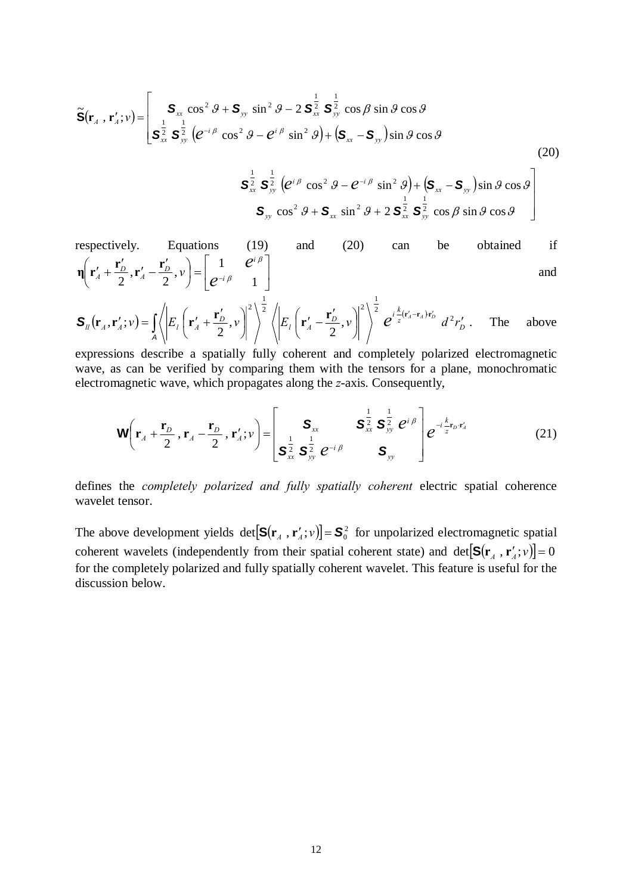$$
\widetilde{\mathbf{S}}(\mathbf{r}_A \cdot \mathbf{r}_A'; v) = \begin{bmatrix} \mathbf{S}_{xx} \cos^2 \theta + \mathbf{S}_{yy} \sin^2 \theta - 2 \mathbf{S}_{xx}^{\frac{1}{2}} \mathbf{S}_{yy}^{\frac{1}{2}} \cos \beta \sin \theta \cos \theta \\ \mathbf{S}_{xx}^{\frac{1}{2}} \mathbf{S}_{yy}^{\frac{1}{2}} (e^{-i\beta} \cos^2 \theta - e^{i\beta} \sin^2 \theta) + (\mathbf{S}_{xx} - \mathbf{S}_{yy}) \sin \theta \cos \theta \end{bmatrix}
$$
\n(20)

$$
\begin{array}{c}\n\mathbf{S}_{xx}^{\frac{1}{2}}\ \mathbf{S}_{yy}^{\frac{1}{2}}\left(e^{i\,\beta}\,\cos^2\,\theta-e^{-i\,\beta}\,\sin^2\,\theta\right)+\left(\mathbf{S}_{xx}-\mathbf{S}_{yy}\right)\sin\,\theta\,\cos\,\theta\\
\mathbf{S}_{yy}\,\cos^2\,\theta+\mathbf{S}_{xx}\,\sin^2\,\theta+2\,\mathbf{S}_{xx}^{\frac{1}{2}}\,\mathbf{S}_{yy}^{\frac{1}{2}}\,\cos\,\beta\,\sin\,\theta\,\cos\,\theta\n\end{array}
$$

respectively. Equations (19) and (20) can be obtained if  
\n
$$
\eta \left( \mathbf{r}'_A + \frac{\mathbf{r}'_D}{2}, \mathbf{r}'_A - \frac{\mathbf{r}'_D}{2}, \nu \right) = \begin{bmatrix} 1 & e^{i\beta} \\ e^{-i\beta} & 1 \end{bmatrix}
$$
 and and

$$
\mathbf{S}_{ll}(\mathbf{r}_{A},\mathbf{r}_{A}';v) = \iint_{A} \left\langle \left| E_{l} \left( \mathbf{r}_{A}^{\prime} + \frac{\mathbf{r}_{D}^{\prime}}{2},v \right) \right|^{2} \right\rangle^{\frac{1}{2}} \left\langle \left| E_{l} \left( \mathbf{r}_{A}^{\prime} - \frac{\mathbf{r}_{D}^{\prime}}{2},v \right) \right|^{2} \right\rangle^{\frac{1}{2}} e^{i\frac{k}{2}(\mathbf{r}_{A}^{\prime}-\mathbf{r}_{A})\mathbf{r}_{D}^{\prime}} d^{2}r_{D}^{\prime}. \quad \text{The above}
$$

expressions describe a spatially fully coherent and completely polarized electromagnetic wave, as can be verified by comparing them with the tensors for a plane, monochromatic electromagnetic wave, which propagates along the *z*-axis. Consequently,

$$
\mathbf{W}\left(\mathbf{r}_A + \frac{\mathbf{r}_D}{2}, \mathbf{r}_A - \frac{\mathbf{r}_D}{2}, \mathbf{r}'_A; \nu\right) = \begin{bmatrix} \mathbf{S}_{xx} & \mathbf{S}_{xx}^{\frac{1}{2}} & \mathbf{S}_{yy}^{\frac{1}{2}} & e^{i\beta} \\ \mathbf{S}_{xx}^{\frac{1}{2}} & \mathbf{S}_{yy}^{\frac{1}{2}} & \mathbf{S}_{yy} \end{bmatrix} e^{-i\frac{k}{2}\mathbf{r}_D \cdot \mathbf{r}'_A}
$$
(21)

defines the *completely polarized and fully spatially coherent* electric spatial coherence wavelet tensor.

The above development yields  $det[S(r_A, r_A'; v)] = S_0^2$  for unpolarized electromagnetic spatial coherent wavelets (independently from their spatial coherent state) and det $[\mathbf{S}(\mathbf{r}_A, \mathbf{r}_A'; v)] = 0$ for the completely polarized and fully spatially coherent wavelet. This feature is useful for the discussion below.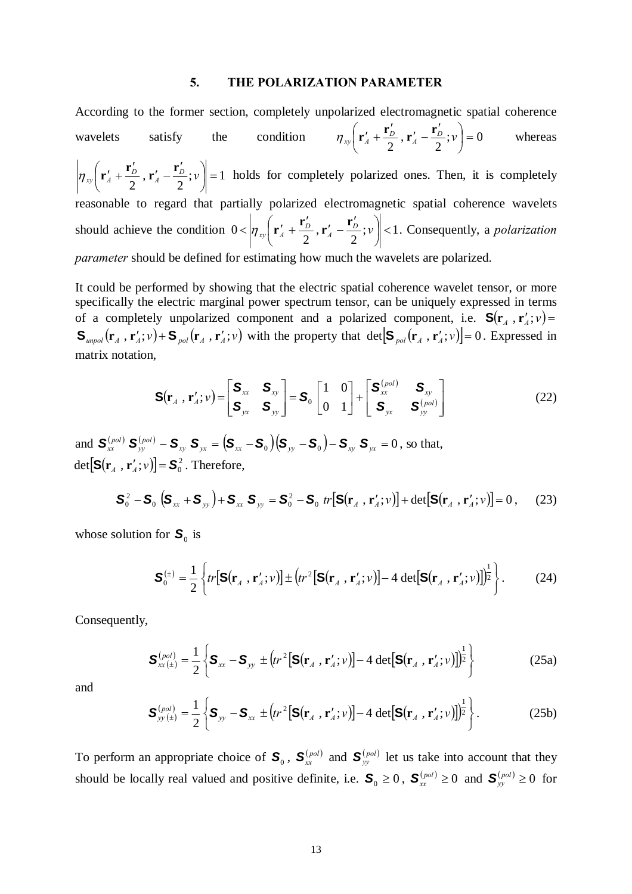# **5. THE POLARIZATION PARAMETER**

According to the former section, completely unpolarized electromagnetic spatial coherence wavelets satisfy the condition  $\eta_{xy} \left[ \mathbf{r}'_A + \frac{\mathbf{r}_D}{2}, \mathbf{r}'_A - \frac{\mathbf{r}_D}{2}; v \right] = 0$  $\left(\mathbf{r}'_A+\frac{\mathbf{r}'_D}{2},\mathbf{r}'_A-\frac{\mathbf{r}'_D}{2};v\right)$ ⎝  $\mathbf{r}'_A + \frac{\mathbf{r}'_D}{2}, \mathbf{r}'_A - \frac{\mathbf{r}'_D}{2}; \mathcal{V}$  $\eta_{xy} \left( \mathbf{r}'_4 + \frac{\mathbf{r}'_2}{2}, \mathbf{r}'_4 - \frac{\mathbf{r}'_2}{2}; v \right) = 0$  whereas  $\left|\frac{D}{2}, \mathbf{r}'_A - \frac{\mathbf{r}_D}{2}; v\right| = 1$  $\left(\mathbf{r}'_4+\frac{\mathbf{r}'_D}{2},\mathbf{r}'_A-\frac{\mathbf{r}'_D}{2};v\right)$ ⎝  $\mathbf{r}'_A + \frac{\mathbf{r}'_D}{2}$ ,  $\mathbf{r}'_A - \frac{\mathbf{r}'_D}{2}$ ;  $\mathcal{V}$  $\left|\eta_{rr}\left(\mathbf{r}'_4 + \frac{\mathbf{r}'_2}{2}, \mathbf{r}'_4 - \frac{\mathbf{r}'_2}{2}; \nu\right)\right| = 1$  holds for completely polarized ones. Then, it is completely reasonable to regard that partially polarized electromagnetic spatial coherence wavelets should achieve the condition  $0 < \left| \eta_{xy} \right| \left( \mathbf{r}'_A + \frac{\mathbf{r}_D}{2}, \mathbf{r}'_A - \frac{\mathbf{r}_D}{2}; \nu \right) < 1$ ⎠  $\left(\mathbf{r}'_4+\frac{\mathbf{r}'_D}{2},\mathbf{r}'_A-\frac{\mathbf{r}'_D}{2};v\right)$ ⎝  $<$   $\left| \eta_{xy} \right| \mathbf{r}'_A + \frac{\mathbf{r}'_D}{2}, \mathbf{r}'_A - \frac{\mathbf{r}'_D}{2}; v \right|$  $\left|\eta_{rr}\left(\mathbf{r}'_A+\frac{\mathbf{r}'_D}{2},\mathbf{r}'_A-\frac{\mathbf{r}'_D}{2};v\right)\right|$  < 1. Consequently, a *polarization parameter* should be defined for estimating how much the wavelets are polarized.

It could be performed by showing that the electric spatial coherence wavelet tensor, or more specifically the electric marginal power spectrum tensor, can be uniquely expressed in terms of a completely unpolarized component and a polarized component, i.e.  $S(r_A, r_A'; v)$  $\mathbf{S}_{unpol}(\mathbf{r}_A, \mathbf{r}'_A; v) + \mathbf{S}_{pol}(\mathbf{r}_A, \mathbf{r}'_A; v)$  with the property that det  $\left[\mathbf{S}_{pol}(\mathbf{r}_A, \mathbf{r}'_A; v)\right] = 0$ . Expressed in matrix notation,

$$
\mathbf{S}(\mathbf{r}_{A}, \mathbf{r}_{A}'; \nu) = \begin{bmatrix} \mathbf{S}_{xx} & \mathbf{S}_{xy} \\ \mathbf{S}_{yx} & \mathbf{S}_{yy} \end{bmatrix} = \mathbf{S}_{0} \begin{bmatrix} 1 & 0 \\ 0 & 1 \end{bmatrix} + \begin{bmatrix} \mathbf{S}_{xx}^{(pol)} & \mathbf{S}_{xy} \\ \mathbf{S}_{yx} & \mathbf{S}_{yy}^{(pol)} \end{bmatrix}
$$
(22)

and  $\mathbf{S}_{xx}^{(pol)}$   $\mathbf{S}_{yy}^{(pol)}$  –  $\mathbf{S}_{xy}$   $\mathbf{S}_{yx} = (\mathbf{S}_{xx} - \mathbf{S}_{0})(\mathbf{S}_{yy} - \mathbf{S}_{0}) - \mathbf{S}_{xy}$   $\mathbf{S}_{yx} = 0$ , so that,  $\det \left[ S(\mathbf{r}_A^{\prime}, \mathbf{r}_A^{\prime}; v) \right] = S_0^2$ . Therefore,

$$
\mathbf{S}_0^2 - \mathbf{S}_0 \left( \mathbf{S}_{xx} + \mathbf{S}_{yy} \right) + \mathbf{S}_{xx} \mathbf{S}_{yy} = \mathbf{S}_0^2 - \mathbf{S}_0 \ tr \left[ \mathbf{S} (\mathbf{r}_A \ , \mathbf{r}'_A; v) \right] + \det \left[ \mathbf{S} (\mathbf{r}_A \ , \mathbf{r}'_A; v) \right] = 0 \,, \tag{23}
$$

whose solution for  $S_0$  is

$$
\mathbf{S}_0^{(\pm)} = \frac{1}{2} \left\{ tr \left[ \mathbf{S}(\mathbf{r}_A^-, \mathbf{r}_A'; v) \right] \pm \left( tr^2 \left[ \mathbf{S}(\mathbf{r}_A^-, \mathbf{r}_A'; v) \right] - 4 \det \left[ \mathbf{S}(\mathbf{r}_A^-, \mathbf{r}_A'; v) \right] \right)^{\frac{1}{2}} \right\}.
$$
 (24)

Consequently,

$$
\mathbf{S}_{xx}^{(pol)} = \frac{1}{2} \left\{ \mathbf{S}_{xx} - \mathbf{S}_{yy} \pm (tr^2 [\mathbf{S}(\mathbf{r}_A, \mathbf{r}'_A; v)] - 4 \det [\mathbf{S}(\mathbf{r}_A, \mathbf{r}'_A; v)] \right\}^{\frac{1}{2}} \right\}
$$
(25a)

and

$$
\mathbf{S}_{yy(\pm)}^{(pol)} = \frac{1}{2} \left\{ \mathbf{S}_{yy} - \mathbf{S}_{xx} \pm (tr^2 [\mathbf{S}(\mathbf{r}_A, \mathbf{r}'_A; v)] - 4 \det [\mathbf{S}(\mathbf{r}_A, \mathbf{r}'_A; v)] \right\}^{\frac{1}{2}} \right\}.
$$
 (25b)

To perform an appropriate choice of  $S_0$ ,  $S_{xx}^{(pol)}$  and  $S_{yy}^{(pol)}$  let us take into account that they should be locally real valued and positive definite, i.e.  $S_0 \ge 0$ ,  $S_{xx}^{(pol)} \ge 0$  and  $S_{yy}^{(pol)} \ge 0$  for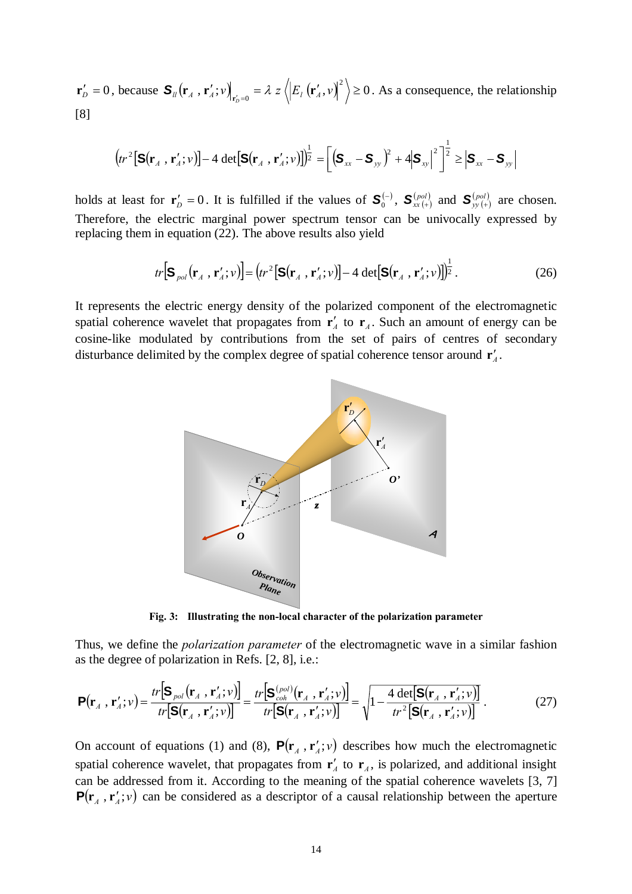$\mathbf{r}'_D = 0$ , because  $\mathbf{S}_{ll}(\mathbf{r}_A, \mathbf{r}'_A; v) \Big|_{\mathbf{r}'_D = 0} = \lambda z \left\langle \left| E_l(\mathbf{r}'_A, v) \right|^2 \right\rangle \ge 0$ . As a consequence, the relationship [8]

$$
\left(\!tr^2\!\left[\mathbf{S}(\mathbf{r}_A\,,\,\mathbf{r}'_A\,;\nu)\right]\!-\!4\,\det\!\left[\mathbf{S}(\mathbf{r}_A\,,\,\mathbf{r}'_A\,;\nu)\right]\!\right)^{\!\frac{1}{2}} = \!\left[\left(\mathbf{S}_{xx}-\mathbf{S}_{yy}\right)^{\!2}+4\!\left|\mathbf{S}_{xy}\right|^2\right]^{\!\frac{1}{2}} \geq \left|\mathbf{S}_{xx}-\mathbf{S}_{yy}\right|
$$

holds at least for  $\mathbf{r}'_D = 0$ . It is fulfilled if the values of  $\mathbf{S}_0^{(-)}$ ,  $\mathbf{S}_{xx}^{(pol)}$  and  $\mathbf{S}_{yy}^{(pol)}$  are chosen. Therefore, the electric marginal power spectrum tensor can be univocally expressed by replacing them in equation (22). The above results also yield

$$
tr\Big[\mathbf{S}_{pol}\big(\mathbf{r}_A\,,\,\mathbf{r}_A';v\big)\Big] = \big(tr^2\big[\mathbf{S}\big(\mathbf{r}_A\,,\,\mathbf{r}_A';v\big)\big] - 4\,\det\big[\mathbf{S}\big(\mathbf{r}_A\,,\,\mathbf{r}_A';v\big)\big]\big)^{\frac{1}{2}}\,. \tag{26}
$$

It represents the electric energy density of the polarized component of the electromagnetic spatial coherence wavelet that propagates from  $\mathbf{r}'_A$  to  $\mathbf{r}_A$ . Such an amount of energy can be cosine-like modulated by contributions from the set of pairs of centres of secondary disturbance delimited by the complex degree of spatial coherence tensor around  $\mathbf{r}'_4$ .



**Fig. 3: Illustrating the non-local character of the polarization parameter** 

Thus, we define the *polarization parameter* of the electromagnetic wave in a similar fashion as the degree of polarization in Refs. [2, 8], i.e.:

$$
\mathbf{P}(\mathbf{r}_{A}, \mathbf{r}_{A}'; v) = \frac{tr[\mathbf{S}_{pol}(\mathbf{r}_{A}, \mathbf{r}_{A}'; v)]}{tr[\mathbf{S}(\mathbf{r}_{A}, \mathbf{r}_{A}'; v)]} = \frac{tr[\mathbf{S}_{coh}^{(pol)}(\mathbf{r}_{A}, \mathbf{r}_{A}'; v)]}{tr[\mathbf{S}(\mathbf{r}_{A}, \mathbf{r}_{A}'; v)]} = \sqrt{1 - \frac{4 \det[\mathbf{S}(\mathbf{r}_{A}, \mathbf{r}_{A}'; v)]}{tr[\mathbf{S}(\mathbf{r}_{A}, \mathbf{r}_{A}'; v)]}}.
$$
(27)

On account of equations (1) and (8),  $P(\mathbf{r}_A, \mathbf{r}'_A; v)$  describes how much the electromagnetic spatial coherence wavelet, that propagates from  $\mathbf{r}'_A$  to  $\mathbf{r}_A$ , is polarized, and additional insight can be addressed from it. According to the meaning of the spatial coherence wavelets [3, 7]  $P(\mathbf{r}_A, \mathbf{r}_A'; v)$  can be considered as a descriptor of a causal relationship between the aperture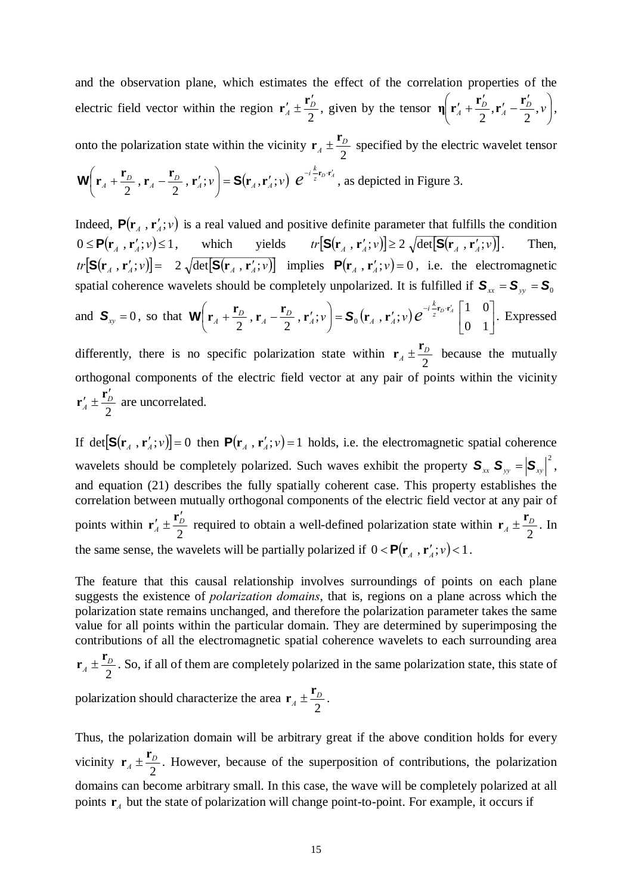and the observation plane, which estimates the effect of the correlation properties of the electric field vector within the region  $\mathbf{r}'_A \pm \frac{\mathbf{I}_D}{2}$  $\mathbf{r}'_4 \pm \frac{\mathbf{r}'_2}{2}$ , given by the tensor  $\mathbf{\eta} \left( \mathbf{r}'_4 + \frac{\mathbf{r}'_2}{2} , \mathbf{r}'_4 - \frac{\mathbf{r}'_2}{2} , \nu \right)$ ⎠  $\left(\mathbf{r}'_A+\frac{\mathbf{r}'_D}{2},\mathbf{r}'_A-\frac{\mathbf{r}'_D}{2},\mathbf{v}\right)$ ⎝  $\eta \left( \mathbf{r}'_A + \frac{\mathbf{r}'_D}{2}, \mathbf{r}'_A - \frac{\mathbf{r}'_D}{2}, \nu \right),$ onto the polarization state within the vicinity  $\mathbf{r}_A \pm \frac{\mathbf{I}_D}{2}$  $\mathbf{r}_4 \pm \frac{\mathbf{r}_D}{\epsilon}$  specified by the electric wavelet tensor  $\left( \mathbf{r}_{\scriptscriptstyle{A}}^{}, \mathbf{r}_{\scriptscriptstyle{A}}^{\prime} ; v \right) \, e^{-i \frac{k}{z} \mathbf{r}_{\scriptscriptstyle{D}} \cdot \mathbf{r}_{\scriptscriptstyle{A}}^{\prime}}$  $\left(\mathbf{r}_A + \frac{\mathbf{r}_D}{2}, \mathbf{r}_A - \frac{\mathbf{r}_D}{2}, \mathbf{r}_A'; v\right) = \mathbf{S}(\mathbf{r}_A, \mathbf{r}_A'; v) e^{-i\frac{k}{z}\mathbf{r}_D \cdot \mathbf{r}_A'}$  $\mathbf{W}\left(\mathbf{r}_A + \frac{\mathbf{r}_D}{2}, \mathbf{r}_A - \frac{\mathbf{r}_D}{2}, \mathbf{r}_A'; v\right) = \mathbf{S}(\mathbf{r}_A, \mathbf{r}_A'; v) e^{-i\frac{k}{2}\mathbf{r}_D \cdot \mathbf{r}_A'}$ , as depicted in Figure 3.

Indeed,  $P(\mathbf{r}_A, \mathbf{r}'_A; v)$  is a real valued and positive definite parameter that fulfills the condition  $0 \leq P(\mathbf{r}_{A}, \mathbf{r}'_{A}; v) \leq 1$ , which yields  $tr[S(\mathbf{r}_{A}, \mathbf{r}'_{A}; v)] \geq 2 \sqrt{\det[S(\mathbf{r}_{A}, \mathbf{r}'_{A}; v)]}$ . Then,  $tr[\mathbf{S}(\mathbf{r}_A, \mathbf{r}_A'; v)] = 2 \sqrt{\det[\mathbf{S}(\mathbf{r}_A, \mathbf{r}_A'; v)]}$  implies  $\mathbf{P}(\mathbf{r}_A, \mathbf{r}_A'; v) = 0$ , i.e. the electromagnetic spatial coherence wavelets should be completely unpolarized. It is fulfilled if  $S_{xx} = S_{yy} = S_0$ and  $S_{xy} = 0$ , so that  $W\left[r_A + \frac{r_D}{2}, r_A - \frac{r_D}{2}, r_A'; v\right] = S_0(r_A, r_A'; v) e^{-\frac{r_D}{2}r_A} \left[\begin{array}{cc} 1 & 0 \\ 0 & 1 \end{array}\right]$ ⎦  $\begin{vmatrix} 1 & 0 \\ 0 & 1 \end{vmatrix}$  $\left(\mathbf{r}_A + \frac{\mathbf{r}_D}{2}, \mathbf{r}_A - \frac{\mathbf{r}_D}{2}, \mathbf{r}_A'; v\right) = \mathbf{S}_0\left(\mathbf{r}_A, \mathbf{r}_A'; v\right) e^{-i\frac{k}{2}\mathbf{r}_D \cdot \mathbf{r}_A'}$ ⎝  $\left(\mathbf{r}_4 + \frac{\mathbf{r}_D}{\cdot}, \mathbf{r}_4 - \frac{\mathbf{r}_D}{\cdot}, \mathbf{r}'_4; v\right) = \mathbf{S}_0(\mathbf{r}_4, \mathbf{r}'_4; v) e^{-i\frac{k}{2}\mathbf{r}_D \cdot \mathbf{r}'_4}$  $\left(\frac{\dot{r}_D}{2}, \mathbf{r}_A - \frac{\mathbf{r}_D}{2}, \mathbf{r}'_A; v\right) = \mathbf{S}_0(\mathbf{r}_A, \mathbf{r}'_A; v) e^{-i\frac{k}{z}\mathbf{r}_D \cdot \mathbf{r}'_A} \begin{bmatrix} 1 & 0 \\ 0 & 1 \end{bmatrix}$  $W\left(\mathbf{r}_A + \frac{\mathbf{r}_D}{2}, \mathbf{r}_A - \frac{\mathbf{r}_D}{2}, \mathbf{r}_A'; v\right) = \mathbf{S}_0\left(\mathbf{r}_A, \mathbf{r}_A'; v\right) e^{-i\frac{k}{2}\mathbf{r}_D \cdot \mathbf{r}_A'}\begin{bmatrix} 1 & 0 \\ 0 & 1 \end{bmatrix}$ . Expressed differently, there is no specific polarization state within  $\mathbf{r}_A \pm \frac{\mathbf{I}_D}{2}$  $\mathbf{r}_4 \pm \frac{\mathbf{r}_D}{2}$  because the mutually orthogonal components of the electric field vector at any pair of points within the vicinity  $\frac{I}{A} \pm \frac{I}{2}$  $\mathbf{r}'_4 \pm \frac{\mathbf{r}'_D}{2}$  are uncorrelated.

If det  $[\mathbf{S}(\mathbf{r}_A, \mathbf{r}_A'; v)] = 0$  then  $\mathbf{P}(\mathbf{r}_A, \mathbf{r}_A'; v) = 1$  holds, i.e. the electromagnetic spatial coherence wavelets should be completely polarized. Such waves exhibit the property  $S_{xx} S_{yy} = |S_{xy}|^2$ , and equation (21) describes the fully spatially coherent case. This property establishes the correlation between mutually orthogonal components of the electric field vector at any pair of points within  $\mathbf{r}'_A \pm \frac{\mathbf{r}_D}{2}$  $\mathbf{r}'_A \pm \frac{\mathbf{r}'_D}{2}$  required to obtain a well-defined polarization state within  $\mathbf{r}_A \pm \frac{\mathbf{r}_D}{2}$  $\mathbf{r}_4 \pm \frac{\mathbf{r}_D}{2}$ . In the same sense, the wavelets will be partially polarized if  $0 < P(\mathbf{r}_A, \mathbf{r}_A'; v) < 1$ .

The feature that this causal relationship involves surroundings of points on each plane suggests the existence of *polarization domains*, that is, regions on a plane across which the polarization state remains unchanged, and therefore the polarization parameter takes the same value for all points within the particular domain. They are determined by superimposing the contributions of all the electromagnetic spatial coherence wavelets to each surrounding area

2  $A \pm \frac{D}{2}$  $\mathbf{r}_4 \pm \frac{\mathbf{r}_D}{\epsilon}$ . So, if all of them are completely polarized in the same polarization state, this state of

polarization should characterize the area  $\mathbf{r}_A \pm \frac{\mathbf{r}_D}{2}$  $\mathbf{r}_4 \pm \frac{\mathbf{r}_D}{\cdot}$ .

2

Thus, the polarization domain will be arbitrary great if the above condition holds for every vicinity  $\mathbf{r}_A \pm \frac{\mathbf{r}_D}{2}$  $\mathbf{r}_4 \pm \frac{\mathbf{r}_D}{\epsilon}$ . However, because of the superposition of contributions, the polarization domains can become arbitrary small. In this case, the wave will be completely polarized at all points  $r_A$  but the state of polarization will change point-to-point. For example, it occurs if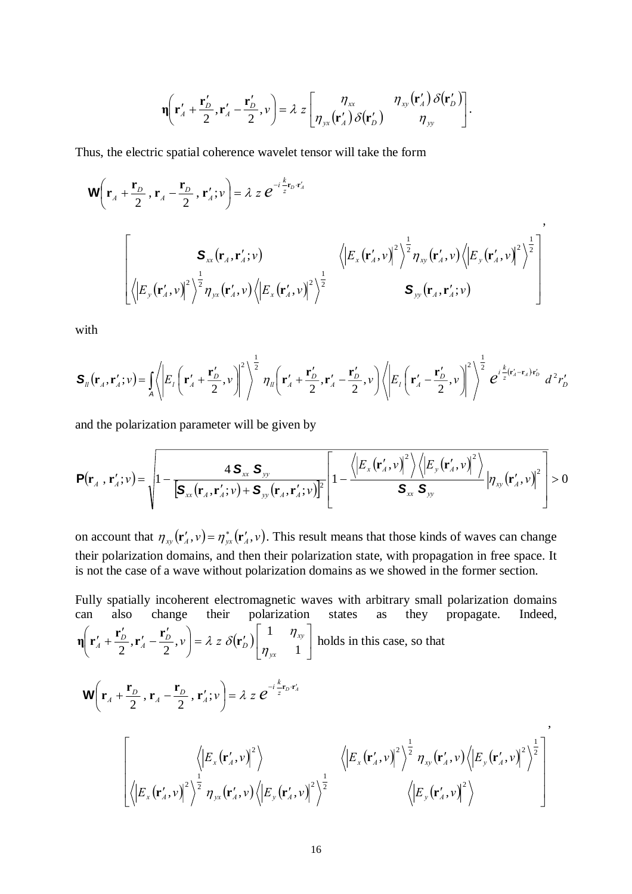$$
\mathbf{\eta}\left(\mathbf{r}'_{A}+\frac{\mathbf{r}'_{D}}{2},\mathbf{r}'_{A}-\frac{\mathbf{r}'_{D}}{2},\nu\right)=\lambda z\left[\begin{matrix}\eta_{xx} & \eta_{xy}\left(\mathbf{r}'_{A}\right)\delta\left(\mathbf{r}'_{D}\right) \\ \eta_{yx}\left(\mathbf{r}'_{A}\right)\delta\left(\mathbf{r}'_{D}\right) & \eta_{yy}\end{matrix}\right].
$$

Thus, the electric spatial coherence wavelet tensor will take the form

$$
\mathbf{W}\left(\mathbf{r}_{A}+\frac{\mathbf{r}_{D}}{2},\mathbf{r}_{A}-\frac{\mathbf{r}_{D}}{2},\mathbf{r}'_{A};\nu\right)=\lambda z e^{-i\frac{k}{z}\mathbf{r}_{D}\cdot\mathbf{r}'_{A}}
$$
\n
$$
\left[\begin{matrix}\n\mathbf{S}_{xx}(\mathbf{r}_{A},\mathbf{r}'_{A};\nu) & \sqrt{\left|E_{x}(\mathbf{r}'_{A},\nu)\right|^{2}\right|^{2}}\frac{1}{2}\n\sqrt{\left|E_{y}(\mathbf{r}'_{A},\nu)\right|^{2}}\n\sqrt{\left|E_{y}(\mathbf{r}'_{A},\nu)\right|^{2}}\n\sqrt{\left|E_{y}(\mathbf{r}'_{A},\nu)\right|^{2}}\n\sqrt{\left|E_{y}(\mathbf{r}'_{A},\nu)\right|^{2}}\n\sqrt{\left|E_{y}(\mathbf{r}'_{A},\nu)\right|^{2}}\n\end{matrix}\right]
$$

with

$$
\mathbf{S}_{ll}(\mathbf{r}_A,\mathbf{r}_A';v) = \iint_A \left\langle \left| E_l \left( \mathbf{r}_A' + \frac{\mathbf{r}_D'}{2}, v \right) \right|^2 \right\rangle^{\frac{1}{2}} \eta_{ll} \left( \mathbf{r}_A' + \frac{\mathbf{r}_D'}{2}, \mathbf{r}_A' - \frac{\mathbf{r}_D'}{2}, v \right) \left\langle \left| E_l \left( \mathbf{r}_A' - \frac{\mathbf{r}_D'}{2}, v \right) \right|^2 \right\rangle^{\frac{1}{2}} e^{i \frac{k}{z} (\mathbf{r}_A' - \mathbf{r}_A') \mathbf{r}_D'} d^2 r_D' d^2 \mathbf{r}_D' d^2 \mathbf{r}_D' d^2 \mathbf{r}_D' d^2 \mathbf{r}_D' d^2 \mathbf{r}_D' d^2 \mathbf{r}_D' d^2 \mathbf{r}_D' d^2 \mathbf{r}_D' d^2 \mathbf{r}_D' d^2 \mathbf{r}_D' d^2 \mathbf{r}_D' d^2 \mathbf{r}_D' d^2 \mathbf{r}_D' d^2 \mathbf{r}_D' d^2 \mathbf{r}_D' d^2 \mathbf{r}_D' d^2 \mathbf{r}_D' d^2 \mathbf{r}_D' d^2 \mathbf{r}_D' d^2 \mathbf{r}_D' d^2 \mathbf{r}_D' d^2 \mathbf{r}_D' d^2 \mathbf{r}_D' d^2 \mathbf{r}_D' d^2 \mathbf{r}_D' d^2 \mathbf{r}_D' d^2 \mathbf{r}_D' d^2 \mathbf{r}_D' d^2 \mathbf{r}_D' d^2 \mathbf{r}_D' d^2 \mathbf{r}_D' d^2 \mathbf{r}_D' d^2 \mathbf{r}_D' d^2 \mathbf{r}_D' d^2 \mathbf{r}_D' d^2 \mathbf{r}_D' d^2 \mathbf{r}_D' d^2 \mathbf{r}_D' d^2 \mathbf{r}_D' d^2 \mathbf{r}_D' d^2 \mathbf{r}_D' d^2 \mathbf{r}_D' d^2 \mathbf{r}_D' d^2 \mathbf{r}_D' d^2 \mathbf{r}_D' d^2 \mathbf{r}_D' d^2 \mathbf{r}_D' d^2 \mathbf{r}_
$$

and the polarization parameter will be given by

$$
\mathbf{P}(\mathbf{r}_{A}, \mathbf{r}_{A}'; v) = \sqrt{1 - \frac{4 \mathbf{S}_{xx} \mathbf{S}_{yy}}{\left[\mathbf{S}_{xx}(\mathbf{r}_{A}, \mathbf{r}_{A}'; v) + \mathbf{S}_{yy}(\mathbf{r}_{A}, \mathbf{r}_{A}'; v)\right]^{2}}}\left[1 - \frac{\left\langle \left|E_{x}(\mathbf{r}_{A}', v)\right|^{2}\right\rangle \left\langle \left|E_{y}(\mathbf{r}_{A}', v)\right|^{2}\right\rangle}{\mathbf{S}_{xx} \mathbf{S}_{yy}}\right|\eta_{xy}(\mathbf{r}_{A}', v)\right|^{2}}\right] > 0
$$

on account that  $\eta_{xy}(\mathbf{r}'_A, v) = \eta_{yx}^*(\mathbf{r}'_A, v)$ . This result means that those kinds of waves can change their polarization domains, and then their polarization state, with propagation in free space. It is not the case of a wave without polarization domains as we showed in the former section.

Fully spatially incoherent electromagnetic waves with arbitrary small polarization domains can also change their polarization states as they propagate. Indeed,  $\left( \mathbf{r}'_D \right) \Big| \begin{matrix} \cdot & \cdot & \cdot & \cdot \\ \cdot & \cdot & \cdot & \cdot \\ \cdot & \cdot & \cdot & \cdot \end{matrix} \Big|$ ⎦  $\begin{vmatrix} 1 & \eta_{xy} \\ n & 1 \end{vmatrix}$  $\left( \mathbf{r}'_A + \frac{\mathbf{r}'_D}{2}, \mathbf{r}'_A - \frac{\mathbf{r}'_D}{2}, \nu \right) = \lambda z \delta(\mathbf{r}'_D)$ ⎝  $\left(\mathbf{r}'_4+\frac{\mathbf{r}'_D}{2},\mathbf{r}'_4-\frac{\mathbf{r}'_L}{2}\right)$  $\left(\frac{r_D'}{2},\mathbf{r}_A'-\frac{\mathbf{r}_D'}{2},\nu\right) = \lambda z \delta(\mathbf{r}_D') \begin{bmatrix} 1 & \eta_{xy} \\ \eta_{yx} & 1 \end{bmatrix}$  $\mathcal{L}_A' + \frac{\mathbf{I}_D}{2}, \mathbf{r}_A' - \frac{\mathbf{I}_D}{2}, v$  =  $\lambda z \delta(\mathbf{r}_D') \bigg| \eta$  $\eta \left( \mathbf{r}'_A + \frac{\mathbf{r}'_D}{2}, \mathbf{r}'_A - \frac{\mathbf{r}'_D}{2}, \nu \right) = \lambda z \delta(\mathbf{r}'_D) \begin{vmatrix} 1 & \eta_{xy} \\ -\eta_{xy} \end{vmatrix}$  holds in this case, so that  $\langle \left( \mathbf{r}_A', v \right)^2 \rangle$   $\langle \left| E_x(\mathbf{r}_A', v) \right|^2 \rangle^2 \eta_{yy}(\mathbf{r}_A', v) \langle \left| E_y(\mathbf{r}_A', v) \right|^2 \rangle$  $(\mathbf{r}'_A, v)^2 \rangle^2 \eta_{yx}(\mathbf{r}'_A, v) \langle |E_y(\mathbf{r}'_A, v)|^2 \rangle^2$   $\langle |E_y(\mathbf{r}'_A, v)|^2 \rangle$  $\overline{\mathcal{L}}$  $\overline{\phantom{a}}$  $\overline{\mathcal{L}}$ ⎦  $\overline{\mathcal{L}}$  $\mathsf{L}$  $\mathsf{L}$  $\mathsf{L}$  $\mathsf{L}$ ⎣  $\mathsf{L}$  $\langle v'_1, v \rangle^2 \rangle^2 \eta_{\text{av}}(\mathbf{r}'_1, v) \langle |E_{\text{av}}(\mathbf{r}'_1, v)|^2 \rangle^2$   $\langle |E_{\text{av}}(\mathbf{r}'_1, v)|^2 \rangle$  $\langle E_r(\mathbf{r}'_1, v) \rangle^2 \rangle = \langle E_r(\mathbf{r}'_1, v) \rangle^2 \eta_{rr}(\mathbf{r}'_1, v) \langle E_r(\mathbf{r}'_1, v) \rangle$  $\vert$  = ⎠  $\left(\mathbf{r}_{A}+\frac{\mathbf{r}_{D}}{2},\mathbf{r}_{A}-\frac{\mathbf{r}_{D}}{2},\mathbf{r}_{A}^{\prime};\nu\right)$ ⎝  $\left(\mathbf{r}_A + \frac{\mathbf{r}_D}{2}, \mathbf{r}_A - \frac{\mathbf{r}_D}{2}, \mathbf{r}_A'; v\right) = \lambda z \ e^{-i\frac{k}{z}\mathbf{r}_D \cdot \mathbf{r}_A'}$  $2\frac{1}{2}$  (1)  $\sqrt{|\mathbf{r}|}$  (1)  $\sqrt{2}\frac{1}{2}$  / $\sqrt{|\mathbf{r}|}$  (1)  $\sqrt{2}$ 2 2)  $\sqrt{|\mathbf{r}_1(r)|^2} \frac{1}{2} (r)^{\frac{1}{2}} \sqrt{|\mathbf{r}_1(r)|^2} \frac{1}{2}$  $\langle v, v \rangle |^{2} \rangle^{2} \eta_{yx}(\mathbf{r}'_{4}, v) \langle |E_{y}(\mathbf{r}'_{4}, v)|^{2} \rangle^{2}$   $\langle |E_{y}(\mathbf{r}'_{4}, v)|^{2} \rangle^{2}$  $\langle \langle \mathbf{E}_{\mathbf{x}}(\mathbf{r}'_A, \mathbf{v}) \rangle \rangle^2 \eta_{\mathbf{w}}(\mathbf{r}'_A, \mathbf{v}) \langle \mathbf{E}_{\mathbf{v}}(\mathbf{r}'_A, \mathbf{v}) \rangle$  $E_x(\mathbf{r}'_A, v) \sim \eta_{yx}(\mathbf{r}'_A, v) \langle |E_y(\mathbf{r}'_A, v)|^2 \rangle^2$   $\langle |E_y(\mathbf{r}'_A, v)|^2 \rangle$  $E_x(\mathbf{r}'_A, v)$   $\rightarrow$   $\langle E_x(\mathbf{r}'_A, v) \rangle^2 \rangle^2 \eta_{yy}(\mathbf{r}'_A, v) \langle E_y(\mathbf{r}'_A, v) \rangle$  $\left\{ \left( \left| \begin{array}{c} \mathcal{U}_A, \mathcal{V}_A \end{array} \right| \right) \middle| \left| \begin{array}{c} \mathcal{U}_A, \mathcal{V}_A \end{array} \right| \right\}$  $\left| \sum_{x} \left( \mathbf{I}_{A}, V \right) \right| / \left| \sum_{x} \left( \mathbf{I}_{A}, V \right) \right| / \left| \sum_{y} \left( \mathbf{I}_{A}, V \right) \right| \right|$  $A + \frac{I_D}{2}$ ,  $\mathbf{r}_A - \frac{I_D}{2}$ ,  $\mathbf{r}'_A$  $W\left(\mathbf{r}_A + \frac{\mathbf{r}_D}{2}, \mathbf{r}_A - \frac{\mathbf{r}_D}{2}, \mathbf{r}_A'; v\right) = \lambda z e^{-i\frac{k}{z} \mathbf{r}_D \cdot \mathbf{r}_A'}$  $\left(\mathbf{r}'_A,\nu\right)^2$   $\left(\mathbf{r}'_A,\nu\right)$   $\left(\left|E_{\nu}(\mathbf{r}'_A,\nu)\right|^2\right)^2$   $\left(\left|E_{\nu}(\mathbf{r}'_A,\nu)\right|^2\right)^2$  $\langle E_r(\mathbf{r}'_A, v) \rangle^2 \rangle$   $\langle E_r(\mathbf{r}'_A, v) \rangle^2 \rangle^2 \eta_{rr}(\mathbf{r}'_A, v) \langle E_r(\mathbf{r}'_A, v) \rangle$ η η ,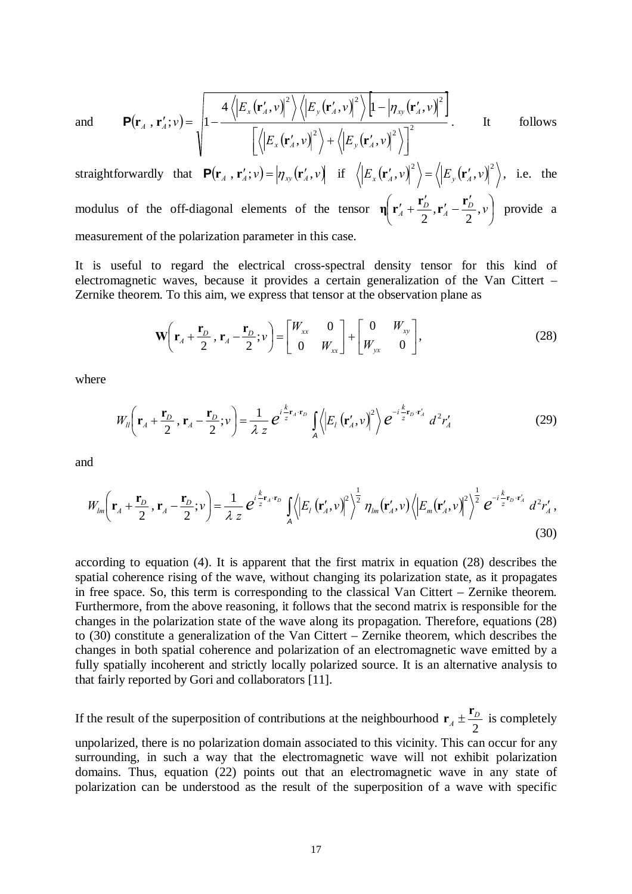and 
$$
\mathbf{P}(\mathbf{r}_A, \mathbf{r}_A'; v) = \sqrt{1 - \frac{4\left\langle \left| E_x(\mathbf{r}_A', v) \right|^2 \right\rangle \left\langle \left| E_y(\mathbf{r}_A', v) \right|^2 \right\rangle \left| 1 - \left| \eta_{xy}(\mathbf{r}_A', v) \right|^2 \right\rangle}}{\left[ \left\langle \left| E_x(\mathbf{r}_A', v) \right|^2 \right\rangle + \left\langle \left| E_y(\mathbf{r}_A', v) \right|^2 \right\rangle \right]^2}.
$$
 It follows

straightforwardly that  $\mathbf{P}(\mathbf{r}_A, \mathbf{r}_A'; v) = |\eta_{xy}(\mathbf{r}_A', v)|$  if  $\langle \left| E_x(\mathbf{r}_A', v) \right|^2 \rangle = \langle \left| E_y(\mathbf{r}_A', v) \right|^2 \rangle$ , i.e. the modulus of the off-diagonal elements of the tensor  $\eta \nvert r'_4 + \frac{r_0}{r_4}$ ,  $r'_4 - \frac{r_0}{r_5}$ ,  $v \nvert$ ⎠  $\left(\mathbf{r}'_4+\frac{\mathbf{r}'_D}{2},\mathbf{r}'_4-\frac{\mathbf{r}'_D}{2},\nu\right)$ ⎝  $\eta \left( \mathbf{r}'_A + \frac{\mathbf{r}'_D}{2}, \mathbf{r}'_A - \frac{\mathbf{r}'_D}{2}, \nu \right)$  provide a measurement of the polarization parameter in this case.

It is useful to regard the electrical cross-spectral density tensor for this kind of electromagnetic waves, because it provides a certain generalization of the Van Cittert – Zernike theorem. To this aim, we express that tensor at the observation plane as

$$
\mathbf{W}\left(\mathbf{r}_A + \frac{\mathbf{r}_D}{2}, \mathbf{r}_A - \frac{\mathbf{r}_D}{2}; \nu\right) = \begin{bmatrix} W_{xx} & 0 \\ 0 & W_{xx} \end{bmatrix} + \begin{bmatrix} 0 & W_{xy} \\ W_{yx} & 0 \end{bmatrix},
$$
(28)

where

$$
W_{ll}\left(\mathbf{r}_{A}+\frac{\mathbf{r}_{D}}{2},\mathbf{r}_{A}-\frac{\mathbf{r}_{D}}{2};\nu\right)=\frac{1}{\lambda z}e^{i\frac{k}{z}\mathbf{r}_{A}\cdot\mathbf{r}_{D}}\int_{A}\left\langle\left|E_{l}\left(\mathbf{r}_{A}^{\prime},\nu\right)\right|^{2}\right\rangle e^{-i\frac{k}{z}\mathbf{r}_{D}\cdot\mathbf{r}_{A}^{\prime}}d^{2}r_{A}^{\prime}\tag{29}
$$

and

$$
W_{lm}\left(\mathbf{r}_A + \frac{\mathbf{r}_D}{2}, \mathbf{r}_A - \frac{\mathbf{r}_D}{2}; \nu\right) = \frac{1}{\lambda z} e^{i\frac{k}{z}\mathbf{r}_A \cdot \mathbf{r}_D} \int_A \left\langle \left| E_l\left(\mathbf{r}_A', \nu\right) \right|^2 \right\rangle^{\frac{1}{2}} \eta_{lm}\left(\mathbf{r}_A', \nu\right) \left\langle \left| E_m\left(\mathbf{r}_A', \nu\right) \right|^2 \right\rangle^{\frac{1}{2}} e^{-i\frac{k}{z}\mathbf{r}_D \cdot \mathbf{r}_A'} d^2 r_A' \,,\tag{30}
$$

according to equation (4). It is apparent that the first matrix in equation (28) describes the spatial coherence rising of the wave, without changing its polarization state, as it propagates in free space. So, this term is corresponding to the classical Van Cittert – Zernike theorem. Furthermore, from the above reasoning, it follows that the second matrix is responsible for the changes in the polarization state of the wave along its propagation. Therefore, equations (28) to (30) constitute a generalization of the Van Cittert – Zernike theorem, which describes the changes in both spatial coherence and polarization of an electromagnetic wave emitted by a fully spatially incoherent and strictly locally polarized source. It is an alternative analysis to that fairly reported by Gori and collaborators [11].

If the result of the superposition of contributions at the neighbourhood  $\mathbf{r}_A \pm \frac{\mathbf{r}_D}{2}$  $\mathbf{r}_4 \pm \frac{\mathbf{r}_D}{\cdot}$  is completely unpolarized, there is no polarization domain associated to this vicinity. This can occur for any surrounding, in such a way that the electromagnetic wave will not exhibit polarization domains. Thus, equation (22) points out that an electromagnetic wave in any state of

polarization can be understood as the result of the superposition of a wave with specific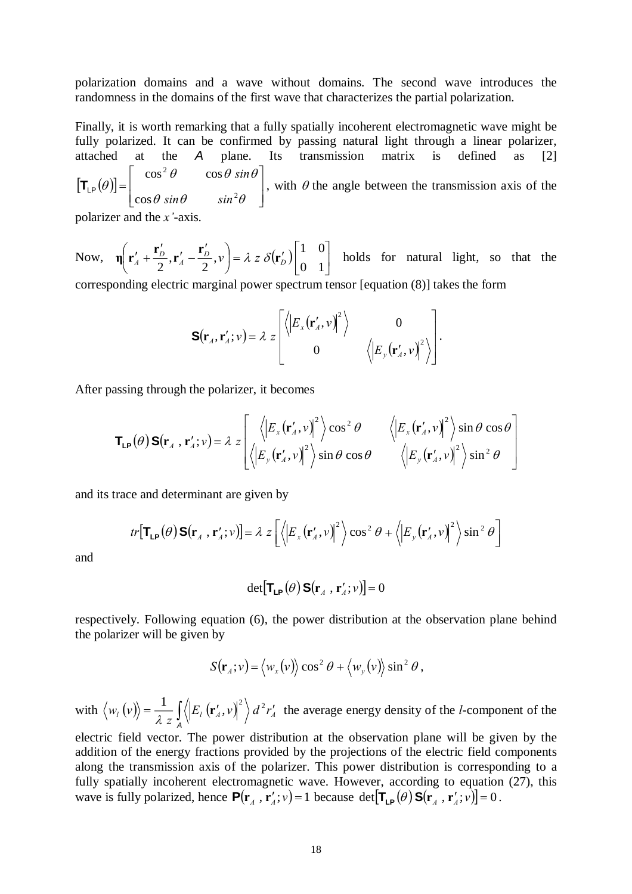polarization domains and a wave without domains. The second wave introduces the randomness in the domains of the first wave that characterizes the partial polarization.

Finally, it is worth remarking that a fully spatially incoherent electromagnetic wave might be fully polarized. It can be confirmed by passing natural light through a linear polarizer, attached at the *A* plane. Its transmission matrix is defined as [2]  $\left[T_{\text{\tiny LP}}(\theta)\right] = \begin{vmatrix} \cos\theta & \sin\theta & \sin^2\theta \end{vmatrix}$  $\overline{\phantom{a}}$ ⎤  $\mathsf{I}$  $\mathsf{I}$ ⎣  $\lfloor$ =  $\theta$  sin $\theta$  sin<sup>2</sup> $\theta$  $\theta$  cos  $\theta$  sin  $\theta$ θ 2 2 cos  $\cos^2 \theta$  cos  $sin\theta$   $sin$ *sin*  $\mathbf{T}_{\text{LP}}(\theta)$  |, with  $\theta$  the angle between the transmission axis of the polarizer and the *x*'-axis

Now,  $\eta \left| \mathbf{r}'_A + \frac{\mathbf{r}_D}{2}, \mathbf{r}'_A - \frac{\mathbf{r}_D}{2}, v \right| = \lambda z \delta(\mathbf{r}'_D) \Big|_{\Omega = 1}^{\Omega}$ ⎦  $\begin{vmatrix} 1 & 0 \\ 0 & 1 \end{vmatrix}$  $\left( \mathbf{r}'_A + \frac{\mathbf{r}'_D}{2}, \mathbf{r}'_A - \frac{\mathbf{r}'_D}{2}, v \right) = \lambda z \delta(\mathbf{r}'_D)$ ⎝  $\left(\mathbf{r}'_A+\frac{\mathbf{r}'_D}{2},\mathbf{r}'_A-\frac{\mathbf{r}'_L}{2}\right)$  $\eta \left( \mathbf{r}'_A + \frac{\mathbf{r}'_D}{2}, \mathbf{r}'_A - \frac{\mathbf{r}'_D}{2}, \nu \right) = \lambda z \delta(\mathbf{r}'_D) \begin{bmatrix} 1 & 0 \\ 0 & 1 \end{bmatrix}$  holds for natural light, so that the corresponding electric marginal power spectrum tensor [equation (8)] takes the form

$$
\mathbf{S}(\mathbf{r}_{A}, \mathbf{r}'_{A}; \nu) = \lambda z \begin{bmatrix} \langle \left| E_{x}(\mathbf{r}'_{A}, \nu) \right|^{2} \rangle & 0 \\ 0 & \langle \left| E_{y}(\mathbf{r}'_{A}, \nu) \right|^{2} \rangle \end{bmatrix}.
$$

After passing through the polarizer, it becomes

$$
\mathbf{T}_{\mathsf{LP}}(\theta) \, \mathbf{S}(\mathbf{r}_A \, , \, \mathbf{r}'_A; v) = \lambda \, z \left[ \begin{array}{cc} \left\langle \left| E_x(\mathbf{r}'_A, v) \right|^2 \right\rangle \cos^2 \theta & \left\langle \left| E_x(\mathbf{r}'_A, v) \right|^2 \right\rangle \sin \theta \cos \theta \\ \left\langle \left| E_y(\mathbf{r}'_A, v) \right|^2 \right\rangle \sin \theta \cos \theta & \left\langle \left| E_y(\mathbf{r}'_A, v) \right|^2 \right\rangle \sin^2 \theta \end{array} \right]
$$

and its trace and determinant are given by

$$
tr\left[\mathbf{T}_{\mathbf{LP}}(\theta)\,\mathbf{S}(\mathbf{r}_A\,,\,\mathbf{r}'_A;\nu)\right] = \lambda \; z \left[ \left\langle \left|E_x\left(\mathbf{r}'_A,\nu\right)\right|^2 \right\rangle \cos^2\theta + \left\langle \left|E_y\left(\mathbf{r}'_A,\nu\right)\right|^2 \right\rangle \sin^2\theta \right]
$$

and

$$
\det[\mathbf{T}_{\mathsf{LP}}(\theta)\,\mathbf{S}(\mathbf{r}_{A}\,,\,\mathbf{r}_{A}^{\prime};\nu)]=0
$$

respectively. Following equation (6), the power distribution at the observation plane behind the polarizer will be given by

$$
S(\mathbf{r}_A; v) = \langle w_x(v) \rangle \cos^2 \theta + \langle w_y(v) \rangle \sin^2 \theta,
$$

with  $\langle w_i (v) \rangle = \frac{1}{\lambda z} \int_A \langle \left| E_i (r'_A, v) \right|^2 \rangle d^2 r'_A$  $\left\langle \mu \left( v \right) \right\rangle = \frac{1}{\lambda z} \int_{A} \left\langle \left| E_{I} \left( \mathbf{r}'_{A}, v \right) \right|^{2} \right\rangle d^{2}r'_{A}$  $w_l(v) = \frac{1}{\lambda z} \int \left\langle \left| E_l \left( \mathbf{r}'_A, v \right)^2 \right\rangle d^2 r'_A$  the average energy density of the *l*-component of the

electric field vector. The power distribution at the observation plane will be given by the addition of the energy fractions provided by the projections of the electric field components along the transmission axis of the polarizer. This power distribution is corresponding to a fully spatially incoherent electromagnetic wave. However, according to equation (27), this wave is fully polarized, hence  $P(\mathbf{r}_A, \mathbf{r}_A'; v) = 1$  because det $[\mathbf{T_{LP}}(\theta) \mathbf{S}(\mathbf{r}_A', \mathbf{r}_A'; v)] = 0$ .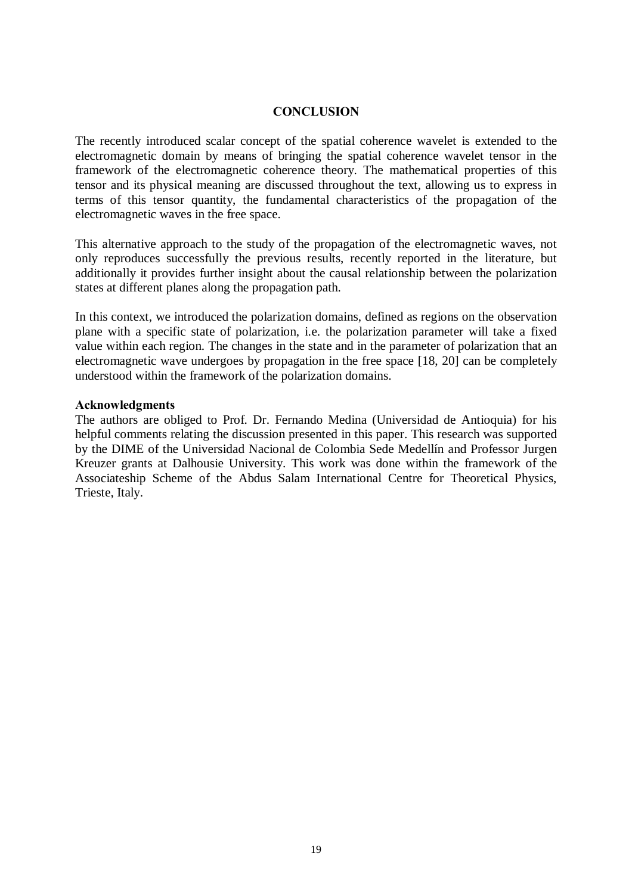# **CONCLUSION**

The recently introduced scalar concept of the spatial coherence wavelet is extended to the electromagnetic domain by means of bringing the spatial coherence wavelet tensor in the framework of the electromagnetic coherence theory. The mathematical properties of this tensor and its physical meaning are discussed throughout the text, allowing us to express in terms of this tensor quantity, the fundamental characteristics of the propagation of the electromagnetic waves in the free space.

This alternative approach to the study of the propagation of the electromagnetic waves, not only reproduces successfully the previous results, recently reported in the literature, but additionally it provides further insight about the causal relationship between the polarization states at different planes along the propagation path.

In this context, we introduced the polarization domains, defined as regions on the observation plane with a specific state of polarization, i.e. the polarization parameter will take a fixed value within each region. The changes in the state and in the parameter of polarization that an electromagnetic wave undergoes by propagation in the free space [18, 20] can be completely understood within the framework of the polarization domains.

## **Acknowledgments**

The authors are obliged to Prof. Dr. Fernando Medina (Universidad de Antioquia) for his helpful comments relating the discussion presented in this paper. This research was supported by the DIME of the Universidad Nacional de Colombia Sede Medellín and Professor Jurgen Kreuzer grants at Dalhousie University. This work was done within the framework of the Associateship Scheme of the Abdus Salam International Centre for Theoretical Physics, Trieste, Italy.